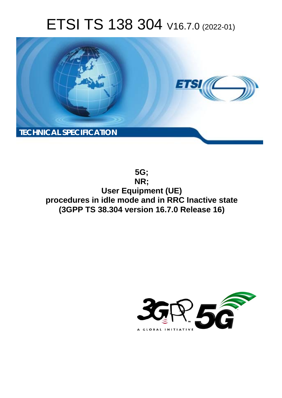# ETSI TS 138 304 V16.7.0 (2022-01)



**5G; NR; User Equipment (UE) procedures in idle mode and in RRC Inactive state (3GPP TS 38.304 version 16.7.0 Release 16)** 

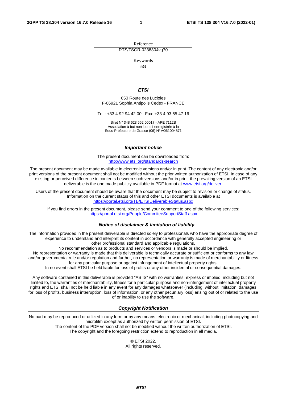Reference RTS/TSGR-0238304vg70

Keywords

 $\overline{5G}$ 

#### *ETSI*

650 Route des Lucioles F-06921 Sophia Antipolis Cedex - FRANCE

Tel.: +33 4 92 94 42 00 Fax: +33 4 93 65 47 16

Siret N° 348 623 562 00017 - APE 7112B Association à but non lucratif enregistrée à la Sous-Préfecture de Grasse (06) N° w061004871

#### *Important notice*

The present document can be downloaded from: <http://www.etsi.org/standards-search>

The present document may be made available in electronic versions and/or in print. The content of any electronic and/or print versions of the present document shall not be modified without the prior written authorization of ETSI. In case of any existing or perceived difference in contents between such versions and/or in print, the prevailing version of an ETSI deliverable is the one made publicly available in PDF format at [www.etsi.org/deliver](http://www.etsi.org/deliver).

Users of the present document should be aware that the document may be subject to revision or change of status. Information on the current status of this and other ETSI documents is available at <https://portal.etsi.org/TB/ETSIDeliverableStatus.aspx>

If you find errors in the present document, please send your comment to one of the following services: <https://portal.etsi.org/People/CommiteeSupportStaff.aspx>

#### *Notice of disclaimer & limitation of liability*

The information provided in the present deliverable is directed solely to professionals who have the appropriate degree of experience to understand and interpret its content in accordance with generally accepted engineering or other professional standard and applicable regulations.

No recommendation as to products and services or vendors is made or should be implied.

No representation or warranty is made that this deliverable is technically accurate or sufficient or conforms to any law and/or governmental rule and/or regulation and further, no representation or warranty is made of merchantability or fitness for any particular purpose or against infringement of intellectual property rights.

In no event shall ETSI be held liable for loss of profits or any other incidental or consequential damages.

Any software contained in this deliverable is provided "AS IS" with no warranties, express or implied, including but not limited to, the warranties of merchantability, fitness for a particular purpose and non-infringement of intellectual property rights and ETSI shall not be held liable in any event for any damages whatsoever (including, without limitation, damages for loss of profits, business interruption, loss of information, or any other pecuniary loss) arising out of or related to the use of or inability to use the software.

#### *Copyright Notification*

No part may be reproduced or utilized in any form or by any means, electronic or mechanical, including photocopying and microfilm except as authorized by written permission of ETSI. The content of the PDF version shall not be modified without the written authorization of ETSI.

The copyright and the foregoing restriction extend to reproduction in all media.

© ETSI 2022. All rights reserved.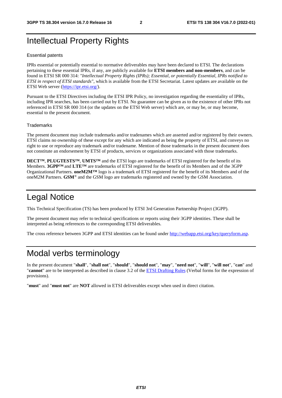## Intellectual Property Rights

#### Essential patents

IPRs essential or potentially essential to normative deliverables may have been declared to ETSI. The declarations pertaining to these essential IPRs, if any, are publicly available for **ETSI members and non-members**, and can be found in ETSI SR 000 314: *"Intellectual Property Rights (IPRs); Essential, or potentially Essential, IPRs notified to ETSI in respect of ETSI standards"*, which is available from the ETSI Secretariat. Latest updates are available on the ETSI Web server ([https://ipr.etsi.org/\)](https://ipr.etsi.org/).

Pursuant to the ETSI Directives including the ETSI IPR Policy, no investigation regarding the essentiality of IPRs, including IPR searches, has been carried out by ETSI. No guarantee can be given as to the existence of other IPRs not referenced in ETSI SR 000 314 (or the updates on the ETSI Web server) which are, or may be, or may become, essential to the present document.

#### **Trademarks**

The present document may include trademarks and/or tradenames which are asserted and/or registered by their owners. ETSI claims no ownership of these except for any which are indicated as being the property of ETSI, and conveys no right to use or reproduce any trademark and/or tradename. Mention of those trademarks in the present document does not constitute an endorsement by ETSI of products, services or organizations associated with those trademarks.

**DECT™**, **PLUGTESTS™**, **UMTS™** and the ETSI logo are trademarks of ETSI registered for the benefit of its Members. **3GPP™** and **LTE™** are trademarks of ETSI registered for the benefit of its Members and of the 3GPP Organizational Partners. **oneM2M™** logo is a trademark of ETSI registered for the benefit of its Members and of the oneM2M Partners. **GSM**® and the GSM logo are trademarks registered and owned by the GSM Association.

## Legal Notice

This Technical Specification (TS) has been produced by ETSI 3rd Generation Partnership Project (3GPP).

The present document may refer to technical specifications or reports using their 3GPP identities. These shall be interpreted as being references to the corresponding ETSI deliverables.

The cross reference between 3GPP and ETSI identities can be found under<http://webapp.etsi.org/key/queryform.asp>.

## Modal verbs terminology

In the present document "**shall**", "**shall not**", "**should**", "**should not**", "**may**", "**need not**", "**will**", "**will not**", "**can**" and "**cannot**" are to be interpreted as described in clause 3.2 of the [ETSI Drafting Rules](https://portal.etsi.org/Services/editHelp!/Howtostart/ETSIDraftingRules.aspx) (Verbal forms for the expression of provisions).

"**must**" and "**must not**" are **NOT** allowed in ETSI deliverables except when used in direct citation.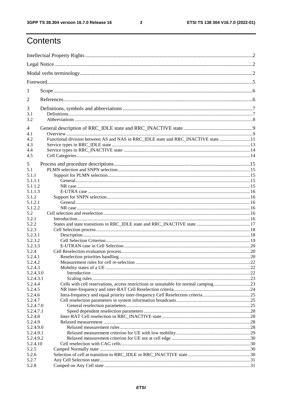$\mathbf{3}$ 

## Contents

| 1          |                                                                                    |     |  |  |  |  |  |  |
|------------|------------------------------------------------------------------------------------|-----|--|--|--|--|--|--|
| 2          |                                                                                    |     |  |  |  |  |  |  |
| 3          |                                                                                    |     |  |  |  |  |  |  |
| 3.1<br>3.2 |                                                                                    |     |  |  |  |  |  |  |
| 4          |                                                                                    |     |  |  |  |  |  |  |
| 4.1        |                                                                                    |     |  |  |  |  |  |  |
| 4.2        | Functional division between AS and NAS in RRC_IDLE state and RRC_INACTIVE state 11 |     |  |  |  |  |  |  |
| 4.3        |                                                                                    |     |  |  |  |  |  |  |
| 4.4        |                                                                                    |     |  |  |  |  |  |  |
| 4.5        |                                                                                    |     |  |  |  |  |  |  |
| 5          |                                                                                    |     |  |  |  |  |  |  |
| 5.1        |                                                                                    |     |  |  |  |  |  |  |
| 5.1.1      |                                                                                    |     |  |  |  |  |  |  |
| 5.1.1.1    |                                                                                    |     |  |  |  |  |  |  |
| 5.1.1.2    |                                                                                    |     |  |  |  |  |  |  |
| 5.1.1.3    |                                                                                    |     |  |  |  |  |  |  |
| 5.1.2      |                                                                                    |     |  |  |  |  |  |  |
| 5.1.2.1    |                                                                                    |     |  |  |  |  |  |  |
| 5.1.2.2    |                                                                                    |     |  |  |  |  |  |  |
| 5.2        |                                                                                    |     |  |  |  |  |  |  |
| 5.2.1      |                                                                                    |     |  |  |  |  |  |  |
| 5.2.2      |                                                                                    |     |  |  |  |  |  |  |
| 5.2.3      |                                                                                    |     |  |  |  |  |  |  |
| 5.2.3.1    |                                                                                    |     |  |  |  |  |  |  |
| 5.2.3.2    |                                                                                    |     |  |  |  |  |  |  |
| 5.2.3.3    |                                                                                    |     |  |  |  |  |  |  |
| 5.2.4      |                                                                                    |     |  |  |  |  |  |  |
| 5.2.4.1    |                                                                                    |     |  |  |  |  |  |  |
| 5.2.4.2    |                                                                                    | .22 |  |  |  |  |  |  |
| 5.2.4.3    |                                                                                    |     |  |  |  |  |  |  |
| 5.2.4.3.0  |                                                                                    |     |  |  |  |  |  |  |
| 5.2.4.3.1  |                                                                                    |     |  |  |  |  |  |  |
| 5.2.4.4    |                                                                                    |     |  |  |  |  |  |  |
| 5.2.4.5    |                                                                                    |     |  |  |  |  |  |  |
| 5.2.4.6    | Intra-frequency and equal priority inter-frequency Cell Reselection criteria25     |     |  |  |  |  |  |  |
| 5.2.4.7    |                                                                                    |     |  |  |  |  |  |  |
| 5.2.4.7.0  |                                                                                    |     |  |  |  |  |  |  |
| 5.2.4.7.1  |                                                                                    |     |  |  |  |  |  |  |
| 5.2.4.8    |                                                                                    |     |  |  |  |  |  |  |
| 5.2.4.9    |                                                                                    |     |  |  |  |  |  |  |
| 5.2.4.9.0  |                                                                                    |     |  |  |  |  |  |  |
| 5.2.4.9.1  |                                                                                    |     |  |  |  |  |  |  |
| 5.2.4.9.2  |                                                                                    |     |  |  |  |  |  |  |
| 5.2.4.10   |                                                                                    |     |  |  |  |  |  |  |
| 5.2.5      |                                                                                    |     |  |  |  |  |  |  |
| 5.2.6      |                                                                                    |     |  |  |  |  |  |  |
| 5.2.7      |                                                                                    |     |  |  |  |  |  |  |
| 5.2.8      |                                                                                    |     |  |  |  |  |  |  |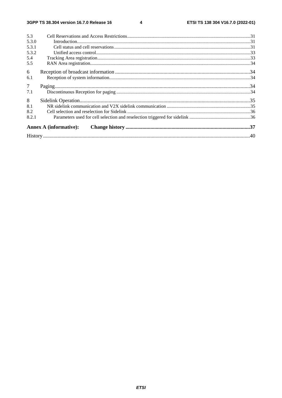#### $\overline{\mathbf{4}}$

| 5.3            |                               |  |  |  |  |  |  |
|----------------|-------------------------------|--|--|--|--|--|--|
| 5.3.0          |                               |  |  |  |  |  |  |
| 5.3.1          |                               |  |  |  |  |  |  |
| 5.3.2          |                               |  |  |  |  |  |  |
| 5.4            |                               |  |  |  |  |  |  |
| 5.5            |                               |  |  |  |  |  |  |
| 6              |                               |  |  |  |  |  |  |
| 6.1            |                               |  |  |  |  |  |  |
| 7 <sup>7</sup> |                               |  |  |  |  |  |  |
| 7.1            |                               |  |  |  |  |  |  |
| 8              |                               |  |  |  |  |  |  |
| 8.1            |                               |  |  |  |  |  |  |
| 8.2            |                               |  |  |  |  |  |  |
| 8.2.1          |                               |  |  |  |  |  |  |
|                | <b>Annex A (informative):</b> |  |  |  |  |  |  |
|                |                               |  |  |  |  |  |  |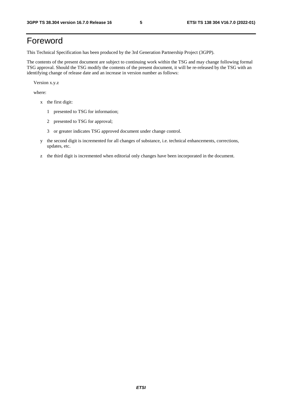## Foreword

This Technical Specification has been produced by the 3rd Generation Partnership Project (3GPP).

The contents of the present document are subject to continuing work within the TSG and may change following formal TSG approval. Should the TSG modify the contents of the present document, it will be re-released by the TSG with an identifying change of release date and an increase in version number as follows:

Version x.y.z

where:

- x the first digit:
	- 1 presented to TSG for information;
	- 2 presented to TSG for approval;
	- 3 or greater indicates TSG approved document under change control.
- y the second digit is incremented for all changes of substance, i.e. technical enhancements, corrections, updates, etc.
- z the third digit is incremented when editorial only changes have been incorporated in the document.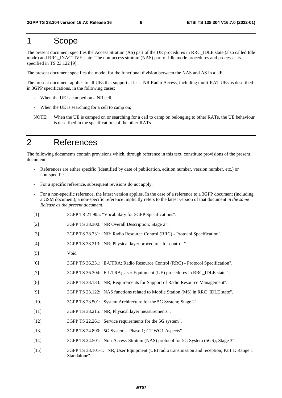## 1 Scope

The present document specifies the Access Stratum (AS) part of the UE procedures in RRC\_IDLE state (also called Idle mode) and RRC\_INACTIVE state. The non-access stratum (NAS) part of Idle mode procedures and processes is specified in TS 23.122 [9].

The present document specifies the model for the functional division between the NAS and AS in a UE.

The present document applies to all UEs that support at least NR Radio Access, including multi-RAT UEs as described in 3GPP specifications, in the following cases:

- When the UE is camped on a NR cell;
- When the UE is searching for a cell to camp on;
- NOTE: When the UE is camped on or searching for a cell to camp on belonging to other RATs, the UE behaviour is described in the specifications of the other RATs.

## 2 References

The following documents contain provisions which, through reference in this text, constitute provisions of the present document.

- References are either specific (identified by date of publication, edition number, version number, etc.) or non-specific.
- For a specific reference, subsequent revisions do not apply.
- For a non-specific reference, the latest version applies. In the case of a reference to a 3GPP document (including a GSM document), a non-specific reference implicitly refers to the latest version of that document *in the same Release as the present document*.
- [1] 3GPP TR 21.905: "Vocabulary for 3GPP Specifications".
- [2] 3GPP TS 38.300: "NR Overall Description; Stage 2".
- [3] 3GPP TS 38.331: "NR; Radio Resource Control (RRC) Protocol Specification".
- [4] 3GPP TS 38.213: "NR; Physical layer procedures for control ".
- [5] Void
- [6] 3GPP TS 36.331: "E-UTRA; Radio Resource Control (RRC) Protocol Specification".
- [7] 3GPP TS 36.304: "E-UTRA; User Equipment (UE) procedures in RRC\_IDLE state ".
- [8] 3GPP TS 38.133: "NR; Requirements for Support of Radio Resource Management".
- [9] 3GPP TS 23.122: "NAS functions related to Mobile Station (MS) in RRC\_IDLE state".
- [10] 3GPP TS 23.501: "System Architecture for the 5G System; Stage 2".
- [11] 3GPP TS 38.215: "NR; Physical layer measurements".
- [12] 3GPP TS 22.261: "Service requirements for the 5G system".
- [13] 3GPP TS 24.890: "5G System Phase 1; CT WG1 Aspects".
- [14] 3GPP TS 24.501: "Non-Access-Stratum (NAS) protocol for 5G System (5GS); Stage 3".
- [15] 3GPP TS 38.101-1: "NR; User Equipment (UE) radio transmission and reception; Part 1: Range 1 Standalone".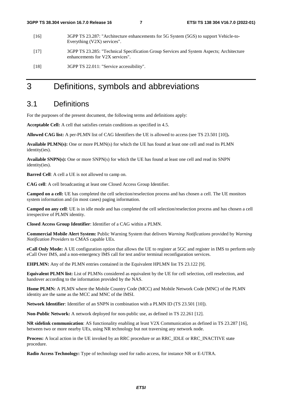| [16] | 3GPP TS 23.287: "Architecture enhancements for 5G System (5GS) to support Vehicle-to-<br>Everything (V2X) services".        |
|------|-----------------------------------------------------------------------------------------------------------------------------|
| [17] | 3GPP TS 23.285: "Technical Specification Group Services and System Aspects; Architecture<br>enhancements for V2X services". |
| [18] | 3GPP TS 22.011: "Service accessibility".                                                                                    |

## 3 Definitions, symbols and abbreviations

## 3.1 Definitions

For the purposes of the present document, the following terms and definitions apply:

**Acceptable Cell:** A cell that satisfies certain conditions as specified in 4.5.

**Allowed CAG list:** A per-PLMN list of CAG Identifiers the UE is allowed to access (see TS 23.501 [10])**.** 

**Available PLMN(s):** One or more PLMN(s) for which the UE has found at least one cell and read its PLMN identity(ies).

**Available SNPN(s):** One or more SNPN(s) for which the UE has found at least one cell and read its SNPN identity(ies).

**Barred Cell**: A cell a UE is not allowed to camp on.

**CAG cell**: A cell broadcasting at least one Closed Access Group Identifier.

**Camped on a cell:** UE has completed the cell selection/reselection process and has chosen a cell. The UE monitors system information and (in most cases) paging information.

**Camped on any cell**: UE is in idle mode and has completed the cell selection/reselection process and has chosen a cell irrespective of PLMN identity.

**Closed Access Group Identifier**: Identifier of a CAG within a PLMN.

**Commercial Mobile Alert System:** Public Warning System that delivers *Warning Notifications* provided by *Warning Notification Providers* to CMAS capable UEs.

**eCall Only Mode:** A UE configuration option that allows the UE to register at 5GC and register in IMS to perform only eCall Over IMS, and a non-emergency IMS call for test and/or terminal reconfiguration services.

**EHPLMN:** Any of the PLMN entries contained in the Equivalent HPLMN list TS 23.122 [9].

**Equivalent PLMN list:** List of PLMNs considered as equivalent by the UE for cell selection, cell reselection, and handover according to the information provided by the NAS.

**Home PLMN:** A PLMN where the Mobile Country Code (MCC) and Mobile Network Code (MNC) of the PLMN identity are the same as the MCC and MNC of the IMSI.

**Network Identifier**: Identifier of an SNPN in combination with a PLMN ID (TS 23.501 [10]).

**Non-Public Network:** A network deployed for non-public use, as defined in TS 22.261 [12].

**NR sidelink communication**: AS functionality enabling at least V2X Communication as defined in TS 23.287 [16], between two or more nearby UEs, using NR technology but not traversing any network node.

**Process:** A local action in the UE invoked by an RRC procedure or an RRC\_IDLE or RRC\_INACTIVE state procedure.

**Radio Access Technology:** Type of technology used for radio access, for instance NR or E-UTRA.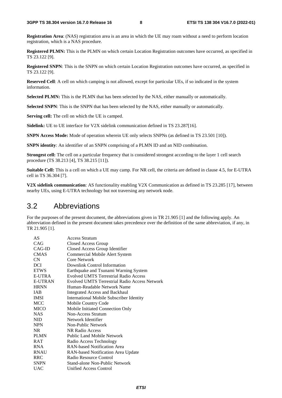**Registration Area**: (NAS) registration area is an area in which the UE may roam without a need to perform location registration, which is a NAS procedure.

**Registered PLMN:** This is the PLMN on which certain Location Registration outcomes have occurred, as specified in TS 23.122 [9].

**Registered SNPN**: This is the SNPN on which certain Location Registration outcomes have occurred, as specified in TS 23.122 [9].

**Reserved Cell**: A cell on which camping is not allowed, except for particular UEs, if so indicated in the system information.

**Selected PLMN:** This is the PLMN that has been selected by the NAS, either manually or automatically.

**Selected SNPN:** This is the SNPN that has been selected by the NAS, either manually or automatically.

**Serving cell:** The cell on which the UE is camped.

**Sidelink:** UE to UE interface for V2X sidelink communication defined in TS 23.287[16].

**SNPN Access Mode:** Mode of operation wherein UE only selects SNPNs (as defined in TS 23.501 [10]).

**SNPN identity**: An identifier of an SNPN comprising of a PLMN ID and an NID combination.

**Strongest cell:** The cell on a particular frequency that is considered strongest according to the layer 1 cell search procedure (TS 38.213 [4], TS 38.215 [11]).

**Suitable Cell:** This is a cell on which a UE may camp. For NR cell, the criteria are defined in clause 4.5, for E-UTRA cell in TS 36.304 [7].

**V2X sidelink communication**: AS functionality enabling V2X Communication as defined in TS 23.285 [17], between nearby UEs, using E-UTRA technology but not traversing any network node.

## 3.2 Abbreviations

For the purposes of the present document, the abbreviations given in TR 21.905 [1] and the following apply. An abbreviation defined in the present document takes precedence over the definition of the same abbreviation, if any, in TR 21.905 [1].

| AS             | <b>Access Stratum</b>                                |
|----------------|------------------------------------------------------|
| CAG            | Closed Access Group                                  |
| CAG-ID         | Closed Access Group Identifier                       |
| <b>CMAS</b>    | Commercial Mobile Alert System                       |
| CN.            | Core Network                                         |
| <b>DCI</b>     | Downlink Control Information                         |
| <b>ETWS</b>    | Earthquake and Tsunami Warning System                |
| E-UTRA         | <b>Evolved UMTS Terrestrial Radio Access</b>         |
| <b>E-UTRAN</b> | <b>Evolved UMTS Terrestrial Radio Access Network</b> |
| <b>HRNN</b>    | Human-Readable Network Name                          |
| <b>IAB</b>     | Integrated Access and Backhaul                       |
| <b>IMSI</b>    | <b>International Mobile Subscriber Identity</b>      |
| <b>MCC</b>     | Mobile Country Code                                  |
| <b>MICO</b>    | Mobile Initiated Connection Only                     |
| <b>NAS</b>     | Non-Access Stratum                                   |
| NID.           | Network Identifier                                   |
| <b>NPN</b>     | Non-Public Network                                   |
| NR.            | NR Radio Access                                      |
| <b>PLMN</b>    | Public Land Mobile Network                           |
| <b>RAT</b>     | Radio Access Technology                              |
| <b>RNA</b>     | <b>RAN-based Notification Area</b>                   |
| <b>RNAU</b>    | RAN-based Notification Area Update                   |
| <b>RRC</b>     | Radio Resource Control                               |
| <b>SNPN</b>    | Stand-alone Non-Public Network                       |
| <b>UAC</b>     | Unified Access Control                               |
|                |                                                      |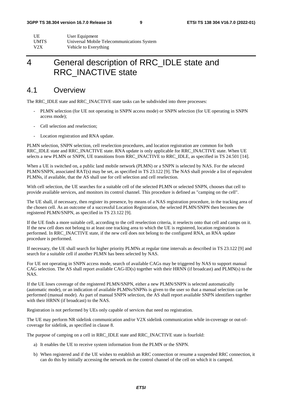| UE          | User Equipment                             |
|-------------|--------------------------------------------|
| <b>UMTS</b> | Universal Mobile Telecommunications System |
| V2X         | Vehicle to Everything                      |

## 4 General description of RRC\_IDLE state and RRC\_INACTIVE state

## 4.1 Overview

The RRC\_IDLE state and RRC\_INACTIVE state tasks can be subdivided into three processes:

- PLMN selection (for UE not operating in SNPN access mode) or SNPN selection (for UE operating in SNPN access mode);
- Cell selection and reselection;
- Location registration and RNA update.

PLMN selection, SNPN selection, cell reselection procedures, and location registration are common for both RRC\_IDLE state and RRC\_INACTIVE state. RNA update is only applicable for RRC\_INACTIVE state. When UE selects a new PLMN or SNPN, UE transitions from RRC\_INACTIVE to RRC\_IDLE, as specified in TS 24.501 [14].

When a UE is switched on, a public land mobile network (PLMN) or a SNPN is selected by NAS. For the selected PLMN/SNPN, associated RAT(s) may be set, as specified in TS 23.122 [9]. The NAS shall provide a list of equivalent PLMNs, if available, that the AS shall use for cell selection and cell reselection.

With cell selection, the UE searches for a suitable cell of the selected PLMN or selected SNPN, chooses that cell to provide available services, and monitors its control channel. This procedure is defined as "camping on the cell".

The UE shall, if necessary, then register its presence, by means of a NAS registration procedure, in the tracking area of the chosen cell. As an outcome of a successful Location Registration, the selected PLMN/SNPN then becomes the registered PLMN/SNPN, as specified in TS 23.122 [9].

If the UE finds a more suitable cell, according to the cell reselection criteria, it reselects onto that cell and camps on it. If the new cell does not belong to at least one tracking area to which the UE is registered, location registration is performed. In RRC\_INACTIVE state, if the new cell does not belong to the configured RNA, an RNA update procedure is performed.

If necessary, the UE shall search for higher priority PLMNs at regular time intervals as described in TS 23.122 [9] and search for a suitable cell if another PLMN has been selected by NAS.

For UE not operating in SNPN access mode, search of available CAGs may be triggered by NAS to support manual CAG selection. The AS shall report available CAG-ID(s) together with their HRNN (if broadcast) and PLMN(s) to the NAS.

If the UE loses coverage of the registered PLMN/SNPN, either a new PLMN/SNPN is selected automatically (automatic mode), or an indication of available PLMNs/SNPNs is given to the user so that a manual selection can be performed (manual mode). As part of manual SNPN selection, the AS shall report available SNPN identifiers together with their HRNN (if broadcast) to the NAS.

Registration is not performed by UEs only capable of services that need no registration.

The UE may perform NR sidelink communication and/or V2X sidelink communication while in-coverage or out-ofcoverage for sidelink, as specified in clause 8.

The purpose of camping on a cell in RRC\_IDLE state and RRC\_INACTIVE state is fourfold:

- a) It enables the UE to receive system information from the PLMN or the SNPN.
- b) When registered and if the UE wishes to establish an RRC connection or resume a suspended RRC connection, it can do this by initially accessing the network on the control channel of the cell on which it is camped.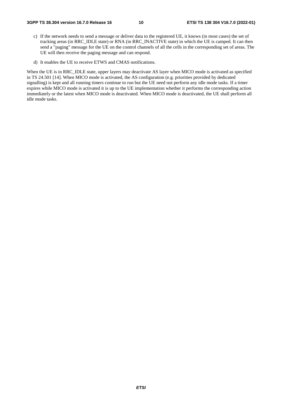- c) If the network needs to send a message or deliver data to the registered UE, it knows (in most cases) the set of tracking areas (in RRC\_IDLE state) or RNA (in RRC\_INACTIVE state) in which the UE is camped. It can then send a "paging" message for the UE on the control channels of all the cells in the corresponding set of areas. The UE will then receive the paging message and can respond.
- d) It enables the UE to receive ETWS and CMAS notifications.

When the UE is in RRC\_IDLE state, upper layers may deactivate AS layer when MICO mode is activated as specified in TS 24.501 [14]. When MICO mode is activated, the AS configuration (e.g. priorities provided by dedicated signalling) is kept and all running timers continue to run but the UE need not perform any idle mode tasks. If a timer expires while MICO mode is activated it is up to the UE implementation whether it performs the corresponding action immediately or the latest when MICO mode is deactivated. When MICO mode is deactivated, the UE shall perform all idle mode tasks.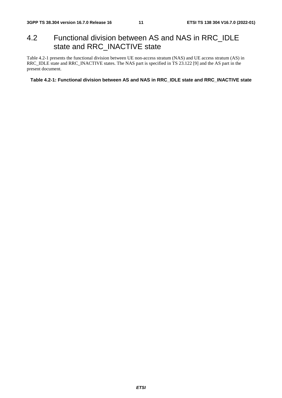## 4.2 Functional division between AS and NAS in RRC\_IDLE state and RRC\_INACTIVE state

Table 4.2-1 presents the functional division between UE non-access stratum (NAS) and UE access stratum (AS) in RRC\_IDLE state and RRC\_INACTIVE states. The NAS part is specified in TS 23.122 [9] and the AS part in the present document.

#### **Table 4.2-1: Functional division between AS and NAS in RRC\_IDLE state and RRC\_INACTIVE state**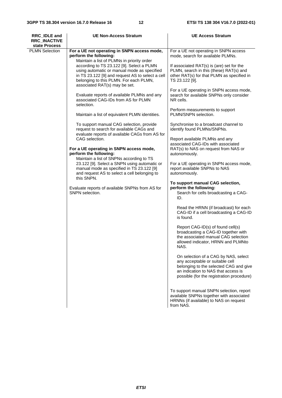| <b>PLMN Selection</b><br>For a UE not operating in SNPN access mode,<br>For a UE not operating in SNPN access<br>perform the following:<br>mode, search for available PLMNs.<br>Maintain a list of PLMNs in priority order<br>according to TS 23.122 [9]. Select a PLMN<br>If associated RAT(s) is (are) set for the<br>using automatic or manual mode as specified<br>PLMN, search in this (these) RAT(s) and<br>in TS 23.122 [9] and request AS to select a cell<br>other RAT(s) for that PLMN as specified in<br>belonging to this PLMN. For each PLMN,<br>TS 23.122 [9].<br>associated RAT(s) may be set.<br>For a UE operating in SNPN access mode,<br>Evaluate reports of available PLMNs and any<br>search for available SNPNs only consider<br>associated CAG-IDs from AS for PLMN<br>NR cells.<br>selection.<br>Perform measurements to support<br>PLMN/SNPN selection.<br>Maintain a list of equivalent PLMN identities.<br>To support manual CAG selection, provide<br>Synchronise to a broadcast channel to<br>request to search for available CAGs and<br>identify found PLMNs/SNPNs.<br>evaluate reports of available CAGs from AS for<br>CAG selection.<br>Report available PLMNs and any<br>associated CAG-IDs with associated<br>For a UE operating in SNPN access mode,<br>RAT(s) to NAS on request from NAS or<br>perform the following:<br>autonomously.<br>Maintain a list of SNPNs according to TS<br>23.122 [9]. Select a SNPN using automatic or<br>For a UE operating in SNPN access mode,<br>manual mode as specified in TS 23.122 [9]<br>report available SNPNs to NAS<br>and request AS to select a cell belonging to<br>autonomously.<br>this SNPN.<br>To support manual CAG selection,<br>perform the following:<br>Evaluate reports of available SNPNs from AS for<br>SNPN selection.<br>Search for cells broadcasting a CAG-<br>ID.<br>Read the HRNN (if broadcast) for each<br>CAG-ID if a cell broadcasting a CAG-ID<br>is found.<br>Report CAG-ID(s) of found cell(s)<br>broadcasting a CAG-ID together with<br>the associated manual CAG selection<br>allowed indicator, HRNN and PLMNto<br>NAS.<br>On selection of a CAG by NAS, select<br>any acceptable or suitable cell<br>belonging to the selected CAG and give<br>an indication to NAS that access is<br>possible (for the registration procedure)<br>To support manual SNPN selection, report<br>available SNPNs together with associated<br>HRNNs (if available) to NAS on request<br>from NAS. | <b>RRC IDLE and</b><br><b>RRC_INACTIVE</b><br>state Process | <b>UE Non-Access Stratum</b> | <b>UE Access Stratum</b> |  |  |  |
|----------------------------------------------------------------------------------------------------------------------------------------------------------------------------------------------------------------------------------------------------------------------------------------------------------------------------------------------------------------------------------------------------------------------------------------------------------------------------------------------------------------------------------------------------------------------------------------------------------------------------------------------------------------------------------------------------------------------------------------------------------------------------------------------------------------------------------------------------------------------------------------------------------------------------------------------------------------------------------------------------------------------------------------------------------------------------------------------------------------------------------------------------------------------------------------------------------------------------------------------------------------------------------------------------------------------------------------------------------------------------------------------------------------------------------------------------------------------------------------------------------------------------------------------------------------------------------------------------------------------------------------------------------------------------------------------------------------------------------------------------------------------------------------------------------------------------------------------------------------------------------------------------------------------------------------------------------------------------------------------------------------------------------------------------------------------------------------------------------------------------------------------------------------------------------------------------------------------------------------------------------------------------------------------------------------------------------------------------------------------------------------------------------------------------------------------------------------------------------------------|-------------------------------------------------------------|------------------------------|--------------------------|--|--|--|
|                                                                                                                                                                                                                                                                                                                                                                                                                                                                                                                                                                                                                                                                                                                                                                                                                                                                                                                                                                                                                                                                                                                                                                                                                                                                                                                                                                                                                                                                                                                                                                                                                                                                                                                                                                                                                                                                                                                                                                                                                                                                                                                                                                                                                                                                                                                                                                                                                                                                                              |                                                             |                              |                          |  |  |  |
|                                                                                                                                                                                                                                                                                                                                                                                                                                                                                                                                                                                                                                                                                                                                                                                                                                                                                                                                                                                                                                                                                                                                                                                                                                                                                                                                                                                                                                                                                                                                                                                                                                                                                                                                                                                                                                                                                                                                                                                                                                                                                                                                                                                                                                                                                                                                                                                                                                                                                              |                                                             |                              |                          |  |  |  |
|                                                                                                                                                                                                                                                                                                                                                                                                                                                                                                                                                                                                                                                                                                                                                                                                                                                                                                                                                                                                                                                                                                                                                                                                                                                                                                                                                                                                                                                                                                                                                                                                                                                                                                                                                                                                                                                                                                                                                                                                                                                                                                                                                                                                                                                                                                                                                                                                                                                                                              |                                                             |                              |                          |  |  |  |
|                                                                                                                                                                                                                                                                                                                                                                                                                                                                                                                                                                                                                                                                                                                                                                                                                                                                                                                                                                                                                                                                                                                                                                                                                                                                                                                                                                                                                                                                                                                                                                                                                                                                                                                                                                                                                                                                                                                                                                                                                                                                                                                                                                                                                                                                                                                                                                                                                                                                                              |                                                             |                              |                          |  |  |  |
|                                                                                                                                                                                                                                                                                                                                                                                                                                                                                                                                                                                                                                                                                                                                                                                                                                                                                                                                                                                                                                                                                                                                                                                                                                                                                                                                                                                                                                                                                                                                                                                                                                                                                                                                                                                                                                                                                                                                                                                                                                                                                                                                                                                                                                                                                                                                                                                                                                                                                              |                                                             |                              |                          |  |  |  |
|                                                                                                                                                                                                                                                                                                                                                                                                                                                                                                                                                                                                                                                                                                                                                                                                                                                                                                                                                                                                                                                                                                                                                                                                                                                                                                                                                                                                                                                                                                                                                                                                                                                                                                                                                                                                                                                                                                                                                                                                                                                                                                                                                                                                                                                                                                                                                                                                                                                                                              |                                                             |                              |                          |  |  |  |
|                                                                                                                                                                                                                                                                                                                                                                                                                                                                                                                                                                                                                                                                                                                                                                                                                                                                                                                                                                                                                                                                                                                                                                                                                                                                                                                                                                                                                                                                                                                                                                                                                                                                                                                                                                                                                                                                                                                                                                                                                                                                                                                                                                                                                                                                                                                                                                                                                                                                                              |                                                             |                              |                          |  |  |  |
|                                                                                                                                                                                                                                                                                                                                                                                                                                                                                                                                                                                                                                                                                                                                                                                                                                                                                                                                                                                                                                                                                                                                                                                                                                                                                                                                                                                                                                                                                                                                                                                                                                                                                                                                                                                                                                                                                                                                                                                                                                                                                                                                                                                                                                                                                                                                                                                                                                                                                              |                                                             |                              |                          |  |  |  |
|                                                                                                                                                                                                                                                                                                                                                                                                                                                                                                                                                                                                                                                                                                                                                                                                                                                                                                                                                                                                                                                                                                                                                                                                                                                                                                                                                                                                                                                                                                                                                                                                                                                                                                                                                                                                                                                                                                                                                                                                                                                                                                                                                                                                                                                                                                                                                                                                                                                                                              |                                                             |                              |                          |  |  |  |
|                                                                                                                                                                                                                                                                                                                                                                                                                                                                                                                                                                                                                                                                                                                                                                                                                                                                                                                                                                                                                                                                                                                                                                                                                                                                                                                                                                                                                                                                                                                                                                                                                                                                                                                                                                                                                                                                                                                                                                                                                                                                                                                                                                                                                                                                                                                                                                                                                                                                                              |                                                             |                              |                          |  |  |  |
|                                                                                                                                                                                                                                                                                                                                                                                                                                                                                                                                                                                                                                                                                                                                                                                                                                                                                                                                                                                                                                                                                                                                                                                                                                                                                                                                                                                                                                                                                                                                                                                                                                                                                                                                                                                                                                                                                                                                                                                                                                                                                                                                                                                                                                                                                                                                                                                                                                                                                              |                                                             |                              |                          |  |  |  |
|                                                                                                                                                                                                                                                                                                                                                                                                                                                                                                                                                                                                                                                                                                                                                                                                                                                                                                                                                                                                                                                                                                                                                                                                                                                                                                                                                                                                                                                                                                                                                                                                                                                                                                                                                                                                                                                                                                                                                                                                                                                                                                                                                                                                                                                                                                                                                                                                                                                                                              |                                                             |                              |                          |  |  |  |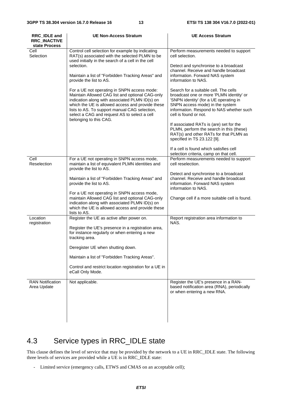| RRC_IDLE and<br><b>RRC_INACTIVE</b><br>state Process | <b>UE Non-Access Stratum</b>                                                                                                                                                                                                                                                                                                    | <b>UE Access Stratum</b>                                                                                                                                                                                                            |
|------------------------------------------------------|---------------------------------------------------------------------------------------------------------------------------------------------------------------------------------------------------------------------------------------------------------------------------------------------------------------------------------|-------------------------------------------------------------------------------------------------------------------------------------------------------------------------------------------------------------------------------------|
| Cell<br>Selection                                    | Control cell selection for example by indicating<br>RAT(s) associated with the selected PLMN to be<br>used initially in the search of a cell in the cell                                                                                                                                                                        | Perform measurements needed to support<br>cell selection.                                                                                                                                                                           |
|                                                      | selection.<br>Maintain a list of "Forbidden Tracking Areas" and<br>provide the list to AS.                                                                                                                                                                                                                                      | Detect and synchronise to a broadcast<br>channel. Receive and handle broadcast<br>information. Forward NAS system<br>information to NAS.                                                                                            |
|                                                      | For a UE not operating in SNPN access mode:<br>Maintain Allowed CAG list and optional CAG-only<br>indication along with associated PLMN ID(s) on<br>which the UE is allowed access and provide these<br>lists to AS. To support manual CAG selection,<br>select a CAG and request AS to select a cell<br>belonging to this CAG. | Search for a suitable cell. The cells<br>broadcast one or more 'PLMN identity' or<br>'SNPN identity' (for a UE operating in<br>SNPN access mode) in the system<br>information. Respond to NAS whether such<br>cell is found or not. |
|                                                      |                                                                                                                                                                                                                                                                                                                                 | If associated RATs is (are) set for the<br>PLMN, perform the search in this (these)<br>RAT(s) and other RATs for that PLMN as<br>specified in TS 23.122 [9].                                                                        |
|                                                      |                                                                                                                                                                                                                                                                                                                                 | If a cell is found which satisfies cell<br>selection criteria, camp on that cell.                                                                                                                                                   |
| Cell<br>Reselection                                  | For a UE not operating in SNPN access mode,<br>maintain a list of equivalent PLMN identities and<br>provide the list to AS.                                                                                                                                                                                                     | Perform measurements needed to support<br>cell reselection.                                                                                                                                                                         |
|                                                      | Maintain a list of "Forbidden Tracking Areas" and<br>provide the list to AS.                                                                                                                                                                                                                                                    | Detect and synchronise to a broadcast<br>channel. Receive and handle broadcast<br>information. Forward NAS system<br>information to NAS.                                                                                            |
|                                                      | For a UE not operating in SNPN access mode,<br>maintain Allowed CAG list and optional CAG-only<br>indication along with associated PLMN ID(s) on<br>which the UE is allowed access and provide these<br>lists to AS.                                                                                                            | Change cell if a more suitable cell is found.                                                                                                                                                                                       |
| Location<br>registration                             | Register the UE as active after power on.                                                                                                                                                                                                                                                                                       | Report registration area information to<br>NAS.                                                                                                                                                                                     |
|                                                      | Register the UE's presence in a registration area,<br>for instance regularly or when entering a new<br>tracking area.                                                                                                                                                                                                           |                                                                                                                                                                                                                                     |
|                                                      | Deregister UE when shutting down.                                                                                                                                                                                                                                                                                               |                                                                                                                                                                                                                                     |
|                                                      | Maintain a list of "Forbidden Tracking Areas".                                                                                                                                                                                                                                                                                  |                                                                                                                                                                                                                                     |
|                                                      | Control and restrict location registration for a UE in<br>eCall Only Mode.                                                                                                                                                                                                                                                      |                                                                                                                                                                                                                                     |
| <b>RAN Notification</b><br>Area Update               | Not applicable.                                                                                                                                                                                                                                                                                                                 | Register the UE's presence in a RAN-<br>based notification area (RNA), periodically<br>or when entering a new RNA.                                                                                                                  |
|                                                      |                                                                                                                                                                                                                                                                                                                                 |                                                                                                                                                                                                                                     |

## 4.3 Service types in RRC\_IDLE state

This clause defines the level of service that may be provided by the network to a UE in RRC\_IDLE state. The following three levels of services are provided while a UE is in RRC\_IDLE state:

- Limited service (emergency calls, ETWS and CMAS on an acceptable cell);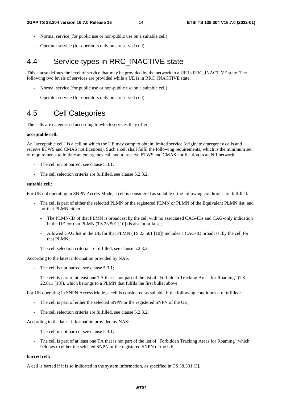- Normal service (for public use or non-public use on a suitable cell);
- Operator service (for operators only on a reserved cell).

## 4.4 Service types in RRC\_INACTIVE state

This clause defines the level of service that may be provided by the network to a UE in RRC\_INACTIVE state. The following two levels of services are provided while a UE is in RRC\_INACTIVE state:

- Normal service (for public use or non-public use on a suitable cell);
- Operator service (for operators only on a reserved cell).

## 4.5 Cell Categories

The cells are categorised according to which services they offer:

#### **acceptable cell:**

An "acceptable cell" is a cell on which the UE may camp to obtain limited service (originate emergency calls and receive ETWS and CMAS notifications). Such a cell shall fulfil the following requirements, which is the minimum set of requirements to initiate an emergency call and to receive ETWS and CMAS notification in an NR network:

- The cell is not barred, see clause 5.3.1;
- The cell selection criteria are fulfilled, see clause 5.2.3.2.

#### **suitable cell:**

For UE not operating in SNPN Access Mode, a cell is considered as suitable if the following conditions are fulfilled:

- The cell is part of either the selected PLMN or the registered PLMN or PLMN of the Equivalent PLMN list, and for that PLMN either:
	- The PLMN-ID of that PLMN is broadcast by the cell with no associated CAG-IDs and CAG-only indication in the UE for that PLMN (TS 23.501 [10]) is absent or false;
	- Allowed CAG list in the UE for that PLMN (TS 23.501 [10]) includes a CAG-ID broadcast by the cell for that PLMN;
- The cell selection criteria are fulfilled, see clause 5.2.3.2.

According to the latest information provided by NAS:

- The cell is not barred, see clause 5.3.1;
- The cell is part of at least one TA that is not part of the list of "Forbidden Tracking Areas for Roaming" (TS 22.011 [18]), which belongs to a PLMN that fulfils the first bullet above.

For UE operating in SNPN Access Mode, a cell is considered as suitable if the following conditions are fulfilled:

- The cell is part of either the selected SNPN or the registered SNPN of the UE;
- The cell selection criteria are fulfilled, see clause 5.2.3.2;

According to the latest information provided by NAS:

- The cell is not barred, see clause 5.3.1;
- The cell is part of at least one TA that is not part of the list of "Forbidden Tracking Areas for Roaming" which belongs to either the selected SNPN or the registered SNPN of the UE.

### **barred cell:**

A cell is barred if it is so indicated in the system information, as specified in TS 38.331 [3].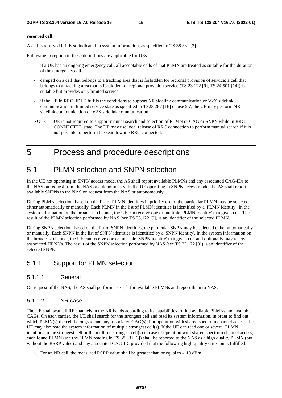#### **reserved cell:**

A cell is reserved if it is so indicated in system information, as specified in TS 38.331 [3].

Following exception to these definitions are applicable for UEs:

- if a UE has an ongoing emergency call, all acceptable cells of that PLMN are treated as suitable for the duration of the emergency call.
- camped on a cell that belongs to a tracking area that is forbidden for regional provision of service; a cell that belongs to a tracking area that is forbidden for regional provision service (TS 23.122 [9], TS 24.501 [14]) is suitable but provides only limited service.
- if the UE in RRC\_IDLE fulfils the conditions to support NR sidelink communication or V2X sidelink communication in limited service state as specified in TS23.287 [16] clause 5.7, the UE may perform NR sidelink communication or V2X sidelink communication.
- NOTE: UE is not required to support manual search and selection of PLMN or CAG or SNPN while in RRC CONNECTED state. The UE may use local release of RRC connection to perform manual search if it is not possible to perform the search while RRC connected.

## 5 Process and procedure descriptions

## 5.1 PLMN selection and SNPN selection

In the UE not operating in SNPN access mode, the AS shall report available PLMNs and any associated CAG-IDs to the NAS on request from the NAS or autonomously. In the UE operating in SNPN access mode, the AS shall report available SNPNs to the NAS on request from the NAS or autonomously.

During PLMN selection, based on the list of PLMN identities in priority order, the particular PLMN may be selected either automatically or manually. Each PLMN in the list of PLMN identities is identified by a 'PLMN identity'. In the system information on the broadcast channel, the UE can receive one or multiple 'PLMN identity' in a given cell. The result of the PLMN selection performed by NAS (see TS 23.122 [9]) is an identifier of the selected PLMN.

During SNPN selection, based on the list of SNPN identities, the particular SNPN may be selected either automatically or manually. Each SNPN in the list of SNPN identities is identified by a 'SNPN identity'. In the system information on the broadcast channel, the UE can receive one or multiple 'SNPN identity' in a given cell and optionally may receive associated HRNNs. The result of the SNPN selection performed by NAS (see TS 23.122 [9]) is an identifier of the selected SNPN.

### 5.1.1 Support for PLMN selection

### 5.1.1.1 General

On request of the NAS, the AS shall perform a search for available PLMNs and report them to NAS.

### 5.1.1.2 NR case

The UE shall scan all RF channels in the NR bands according to its capabilities to find available PLMNs and available CAGs. On each carrier, the UE shall search for the strongest cell and read its system information, in order to find out which PLMN(s) the cell belongs to and any associated CAG(s). For operation with shared spectrum channel access, the UE may also read the system information of multiple strongest cell(s). If the UE can read one or several PLMN identities in the strongest cell or the multiple strongest cell(s) in case of operation with shared spectrum channel access, each found PLMN (see the PLMN reading in TS 38.331 [3]) shall be reported to the NAS as a high quality PLMN (but without the RSRP value) and any associated CAG-ID, provided that the following high-quality criterion is fulfilled:

1. For an NR cell, the measured RSRP value shall be greater than or equal to -110 dBm.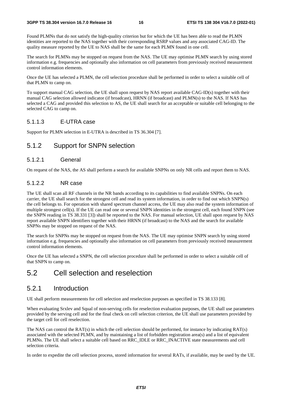Found PLMNs that do not satisfy the high-quality criterion but for which the UE has been able to read the PLMN identities are reported to the NAS together with their corresponding RSRP values and any associated CAG-ID. The quality measure reported by the UE to NAS shall be the same for each PLMN found in one cell.

The search for PLMNs may be stopped on request from the NAS. The UE may optimise PLMN search by using stored information e.g. frequencies and optionally also information on cell parameters from previously received measurement control information elements.

Once the UE has selected a PLMN, the cell selection procedure shall be performed in order to select a suitable cell of that PLMN to camp on.

To support manual CAG selection, the UE shall upon request by NAS report available CAG-ID(s) together with their manual CAG selection allowed indicator (if broadcast), HRNN (if broadcast) and PLMN(s) to the NAS. If NAS has selected a CAG and provided this selection to AS, the UE shall search for an acceptable or suitable cell belonging to the selected CAG to camp on.

### 5.1.1.3 E-UTRA case

Support for PLMN selection in E-UTRA is described in TS 36.304 [7].

### 5.1.2 Support for SNPN selection

#### 5.1.2.1 General

On request of the NAS, the AS shall perform a search for available SNPNs on only NR cells and report them to NAS.

#### 5.1.2.2 NR case

The UE shall scan all RF channels in the NR bands according to its capabilities to find available SNPNs. On each carrier, the UE shall search for the strongest cell and read its system information, in order to find out which SNPN(s) the cell belongs to. For operation with shared spectrum channel access, the UE may also read the system information of multiple strongest cell(s). If the UE can read one or several SNPN identities in the strongest cell, each found SNPN (see the SNPN reading in TS 38.331 [3]) shall be reported to the NAS. For manual selection, UE shall upon request by NAS report available SNPN identifiers together with their HRNN (if broadcast) to the NAS and the search for available SNPNs may be stopped on request of the NAS.

The search for SNPNs may be stopped on request from the NAS. The UE may optimise SNPN search by using stored information e.g. frequencies and optionally also information on cell parameters from previously received measurement control information elements.

Once the UE has selected a SNPN, the cell selection procedure shall be performed in order to select a suitable cell of that SNPN to camp on.

## 5.2 Cell selection and reselection

### 5.2.1 Introduction

UE shall perform measurements for cell selection and reselection purposes as specified in TS 38.133 [8].

When evaluating Srxlev and Squal of non-serving cells for reselection evaluation purposes, the UE shall use parameters provided by the serving cell and for the final check on cell selection criterion, the UE shall use parameters provided by the target cell for cell reselection.

The NAS can control the RAT(s) in which the cell selection should be performed, for instance by indicating RAT(s) associated with the selected PLMN, and by maintaining a list of forbidden registration area(s) and a list of equivalent PLMNs. The UE shall select a suitable cell based on RRC\_IDLE or RRC\_INACTIVE state measurements and cell selection criteria.

In order to expedite the cell selection process, stored information for several RATs, if available, may be used by the UE.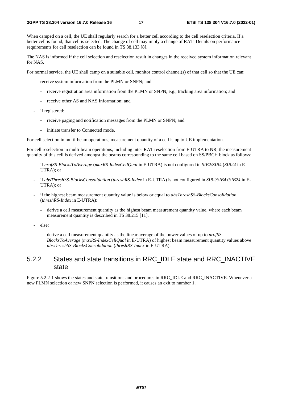When camped on a cell, the UE shall regularly search for a better cell according to the cell reselection criteria. If a better cell is found, that cell is selected. The change of cell may imply a change of RAT. Details on performance requirements for cell reselection can be found in TS 38.133 [8].

The NAS is informed if the cell selection and reselection result in changes in the received system information relevant for NAS.

For normal service, the UE shall camp on a suitable cell, monitor control channel(s) of that cell so that the UE can:

- receive system information from the PLMN or SNPN; and
	- receive registration area information from the PLMN or SNPN, e.g., tracking area information; and
	- receive other AS and NAS Information; and
- if registered:
	- receive paging and notification messages from the PLMN or SNPN; and
	- initiate transfer to Connected mode.

For cell selection in multi-beam operations, measurement quantity of a cell is up to UE implementation.

For cell reselection in multi-beam operations, including inter-RAT reselection from E-UTRA to NR, the measurement quantity of this cell is derived amongst the beams corresponding to the same cell based on SS/PBCH block as follows:

- if *nrofSS-BlocksToAverage* (*maxRS-IndexCellQual* in E-UTRA) is not configured in *SIB2/SIB4* (*SIB24* in E-UTRA); or
- if *absThreshSS-BlocksConsolidation* (*threshRS-Index* in E-UTRA) is not configured in *SIB2/SIB4* (*SIB24* in E-UTRA); or
- if the highest beam measurement quantity value is below or equal to *absThreshSS-BlocksConsolidation*  (*threshRS-Index* in E-UTRA):
	- derive a cell measurement quantity as the highest beam measurement quantity value, where each beam measurement quantity is described in TS 38.215 [11].
- else:
	- derive a cell measurement quantity as the linear average of the power values of up to *nrofSS-BlocksToAverage* (*maxRS-IndexCellQual* in E-UTRA) of highest beam measurement quantity values above *absThreshSS-BlocksConsolidation* (*threshRS-Index* in E-UTRA).

### 5.2.2 States and state transitions in RRC\_IDLE state and RRC\_INACTIVE state

Figure 5.2.2-1 shows the states and state transitions and procedures in RRC\_IDLE and RRC\_INACTIVE. Whenever a new PLMN selection or new SNPN selection is performed, it causes an exit to number 1.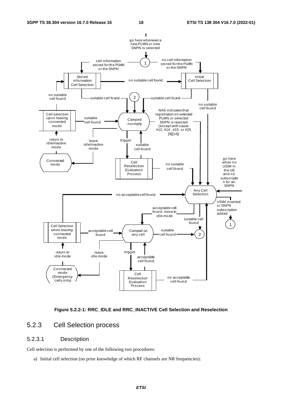



### 5.2.3 Cell Selection process

### 5.2.3.1 Description

Cell selection is performed by one of the following two procedures:

a) Initial cell selection (no prior knowledge of which RF channels are NR frequencies):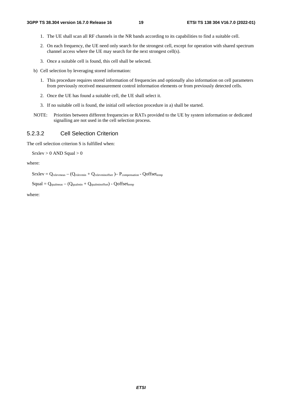- 1. The UE shall scan all RF channels in the NR bands according to its capabilities to find a suitable cell.
- 2. On each frequency, the UE need only search for the strongest cell, except for operation with shared spectrum channel access where the UE may search for the next strongest cell(s).
- 3. Once a suitable cell is found, this cell shall be selected.
- b) Cell selection by leveraging stored information:
	- 1. This procedure requires stored information of frequencies and optionally also information on cell parameters from previously received measurement control information elements or from previously detected cells.
	- 2. Once the UE has found a suitable cell, the UE shall select it.
	- 3. If no suitable cell is found, the initial cell selection procedure in a) shall be started.
- NOTE: Priorities between different frequencies or RATs provided to the UE by system information or dedicated signalling are not used in the cell selection process.

#### 5.2.3.2 Cell Selection Criterion

The cell selection criterion S is fulfilled when:

 $S$ rxlev > 0 AND Squal > 0

where:

 $Srxlev = Q_{rxlevmeas} - (Q_{rxlevmin} + Q_{rxlevminoffset}) - P_{compensation} - Qoffset_{temp}$ 

```
Squal = Q_{\text{qualmeas}} - (Q_{\text{qualmin}} + Q_{\text{qualminoffset}}) - Qoffset_{\text{temp}}
```
where: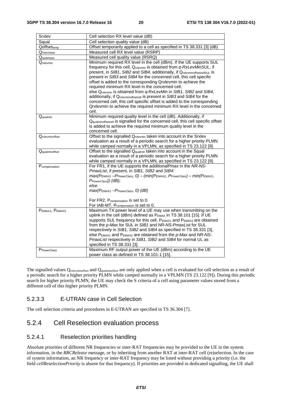| Srxlev                  | Cell selection RX level value (dB)                                                                                                                                                                                                                                                                                                                                                                                                                                                                                                                                                                                                                                                                                                   |
|-------------------------|--------------------------------------------------------------------------------------------------------------------------------------------------------------------------------------------------------------------------------------------------------------------------------------------------------------------------------------------------------------------------------------------------------------------------------------------------------------------------------------------------------------------------------------------------------------------------------------------------------------------------------------------------------------------------------------------------------------------------------------|
| Squal                   | Cell selection quality value (dB)                                                                                                                                                                                                                                                                                                                                                                                                                                                                                                                                                                                                                                                                                                    |
| Qoffsettemp             | Offset temporarily applied to a cell as specified in TS 38.331 [3] (dB)                                                                                                                                                                                                                                                                                                                                                                                                                                                                                                                                                                                                                                                              |
| Qrxlevmeas              | Measured cell RX level value (RSRP)                                                                                                                                                                                                                                                                                                                                                                                                                                                                                                                                                                                                                                                                                                  |
| Qqualmeas               | Measured cell quality value (RSRQ)                                                                                                                                                                                                                                                                                                                                                                                                                                                                                                                                                                                                                                                                                                   |
| Qrxlevmin               | Minimum required RX level in the cell (dBm). If the UE supports SUL<br>frequency for this cell, Qrxlevmin is obtained from q-RxLevMinSUL, if<br>present, in SIB1, SIB2 and SIB4, additionally, if QrxlevminoffsetcellSUL IS<br>present in SIB3 and SIB4 for the concerned cell, this cell specific<br>offset is added to the corresponding Qrxlevmin to achieve the<br>required minimum RX level in the concerned cell;<br>else Qrxlevmin is obtained from q-RxLevMin in SIB1, SIB2 and SIB4,<br>additionally, if Qrxlevminoffsetcell is present in SIB3 and SIB4 for the<br>concerned cell, this cell specific offset is added to the corresponding<br>Qrxlevmin to achieve the required minimum RX level in the concerned<br>cell. |
| Qqualmin                | Minimum required quality level in the cell (dB). Additionally, if<br>Qqualminoffsetcell is signalled for the concerned cell, this cell specific offset<br>is added to achieve the required minimum quality level in the<br>concerned cell.                                                                                                                                                                                                                                                                                                                                                                                                                                                                                           |
| Qrxlevminoffset         | Offset to the signalled Q <sub>rxlevmin</sub> taken into account in the Srxlev<br>evaluation as a result of a periodic search for a higher priority PLMN<br>while camped normally in a VPLMN, as specified in TS 23.122 [9].                                                                                                                                                                                                                                                                                                                                                                                                                                                                                                         |
| Qqualminoffset          | Offset to the signalled Q <sub>qualmin</sub> taken into account in the Squal<br>evaluation as a result of a periodic search for a higher priority PLMN<br>while camped normally in a VPLMN, as specified in TS 23.122 [9].                                                                                                                                                                                                                                                                                                                                                                                                                                                                                                           |
| Pcompensation           | For FR1, if the UE supports the additionalPmax in the NR-NS-<br>PmaxList, if present, in SIB1, SIB2 and SIB4:<br>$max(P_{EMAX1}-P_{PowerClass}, 0) - (min(P_{EMAX2}, P_{PowerClass}) - min(P_{EMAX1}, P_{EMAX1}, P_{EMAX1})$<br>$P_{PowerClass}$ ) (dB);<br>else:<br>$max(P_{EMAX1}-P_{PowerClass}, 0)$ (dB)<br>For FR2, Pcompensation is set to 0.<br>For IAB-MT, Pcompensation is set to 0.                                                                                                                                                                                                                                                                                                                                        |
| PEMAX1, PEMAX2          | Maximum TX power level of a UE may use when transmitting on the<br>uplink in the cell (dBm) defined as PEMAX in TS 38.101 [15]. If UE<br>Supports SUL frequency for this cell, PEMAX1 and PEMAX2 are obtained<br>from the p-Max for SUL in SIB1 and NR-NS-PmaxList for SUL<br>respectively in SIB1, SIB2 and SIB4 as specified in TS 38.331 [3],<br>else $P_{EMAX1}$ and $P_{EMAX2}$ are obtained from the $p$ -Max and NR-NS-<br>PmaxList respectively in SIB1, SIB2 and SIB4 for normal UL as<br>specified in TS 38.331 [3].                                                                                                                                                                                                       |
| P <sub>PowerClass</sub> | Maximum RF output power of the UE (dBm) according to the UE<br>power class as defined in TS 38.101-1 [15].                                                                                                                                                                                                                                                                                                                                                                                                                                                                                                                                                                                                                           |

The signalled values Q<sub>rxlevminoffset</sub> and Q<sub>qualminoffset</sub> are only applied when a cell is evaluated for cell selection as a result of a periodic search for a higher priority PLMN while camped normally in a VPLMN (TS 23.122 [9]). During this periodic search for higher priority PLMN, the UE may check the S criteria of a cell using parameter values stored from a different cell of this higher priority PLMN.

### 5.2.3.3 E-UTRAN case in Cell Selection

The cell selection criteria and procedures in E-UTRAN are specified in TS 36.304 [7].

### 5.2.4 Cell Reselection evaluation process

#### 5.2.4.1 Reselection priorities handling

Absolute priorities of different NR frequencies or inter-RAT frequencies may be provided to the UE in the system information, in the *RRCRelease* message, or by inheriting from another RAT at inter-RAT cell (re)selection. In the case of system information, an NR frequency or inter-RAT frequency may be listed without providing a priority (i.e. the field *cellReselectionPriority* is absent for that frequency). If priorities are provided in dedicated signalling, the UE shall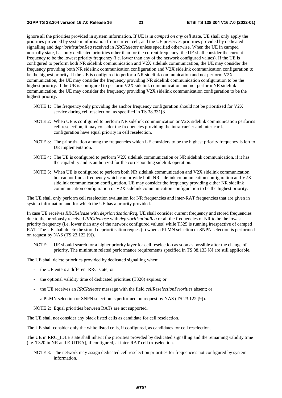ignore all the priorities provided in system information. If UE is in *camped on any cell* state, UE shall only apply the priorities provided by system information from current cell, and the UE preserves priorities provided by dedicated signalling and *deprioritisationReq* received in *RRCRelease* unless specified otherwise. When the UE in camped normally state, has only dedicated priorities other than for the current frequency, the UE shall consider the current frequency to be the lowest priority frequency (i.e. lower than any of the network configured values). If the UE is configured to perform both NR sidelink communication and V2X sidelink communication, the UE may consider the frequency providing both NR sidelink communication configuration and V2X sidelink communication configuration to be the highest priority. If the UE is configured to perform NR sidelink communication and not perform V2X communication, the UE may consider the frequency providing NR sidelink communication configuration to be the highest priority. If the UE is configured to perform V2X sidelink communication and not perform NR sidelink communication, the UE may consider the frequency providing V2X sidelink communication configuration to be the highest priority.

- NOTE 1: The frequency only providing the anchor frequency configuration should not be prioritized for V2X service during cell reselection, as specified in TS 38.331[3].
- NOTE 2: When UE is configured to perform NR sidelink communication or V2X sidelink communication performs cell reselection, it may consider the frequencies providing the intra-carrier and inter-carrier configuration have equal priority in cell reselection.
- NOTE 3: The prioritization among the frequencies which UE considers to be the highest priority frequency is left to UE implementation.
- NOTE 4: The UE is configured to perform V2X sidelink communication or NR sidelink communication, if it has the capability and is authorized for the corresponding sidelink operation.
- NOTE 5: When UE is configured to perform both NR sidelink communication and V2X sidelink communication, but cannot find a frequency which can provide both NR sidelink communication configuration and V2X sidelink communication configuration, UE may consider the frequency providing either NR sidelink communication configuration or V2X sidelink communication configuration to be the highest priority.

The UE shall only perform cell reselection evaluation for NR frequencies and inter-RAT frequencies that are given in system information and for which the UE has a priority provided.

In case UE receives *RRCRelease* with *deprioritisationReq*, UE shall consider current frequency and stored frequencies due to the previously received *RRCRelease* with *deprioritisationReq* or all the frequencies of NR to be the lowest priority frequency (i.e. lower than any of the network configured values) while T325 is running irrespective of camped RAT. The UE shall delete the stored deprioritisation request(s) when a PLMN selection or SNPN selection is performed on request by NAS (TS 23.122 [9]).

NOTE: UE should search for a higher priority layer for cell reselection as soon as possible after the change of priority. The minimum related performance requirements specified in TS 38.133 [8] are still applicable.

The UE shall delete priorities provided by dedicated signalling when:

- the UE enters a different RRC state; or
- the optional validity time of dedicated priorities (T320) expires; or
- the UE receives an *RRCRelease* message with the field *cellReselectionPriorities* absent; or
- a PLMN selection or SNPN selection is performed on request by NAS (TS 23.122 [9]).

NOTE 2: Equal priorities between RATs are not supported.

The UE shall not consider any black listed cells as candidate for cell reselection.

The UE shall consider only the white listed cells, if configured, as candidates for cell reselection.

The UE in RRC\_IDLE state shall inherit the priorities provided by dedicated signalling and the remaining validity time (i.e. T320 in NR and E-UTRA), if configured, at inter-RAT cell (re)selection.

NOTE 3: The network may assign dedicated cell reselection priorities for frequencies not configured by system information.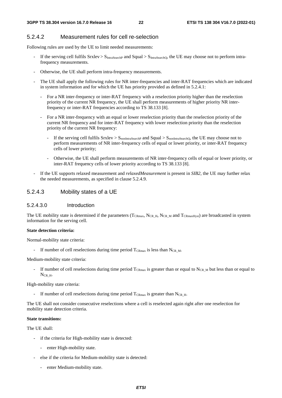#### 5.2.4.2 Measurement rules for cell re-selection

Following rules are used by the UE to limit needed measurements:

- If the serving cell fulfils  $S_{\text{IntaSearchP}}$  and  $S_{\text{IntaSearchO}}$ , the UE may choose not to perform intrafrequency measurements.
- Otherwise, the UE shall perform intra-frequency measurements.
- The UE shall apply the following rules for NR inter-frequencies and inter-RAT frequencies which are indicated in system information and for which the UE has priority provided as defined in 5.2.4.1:
	- For a NR inter-frequency or inter-RAT frequency with a reselection priority higher than the reselection priority of the current NR frequency, the UE shall perform measurements of higher priority NR interfrequency or inter-RAT frequencies according to TS 38.133 [8].
	- For a NR inter-frequency with an equal or lower reselection priority than the reselection priority of the current NR frequency and for inter-RAT frequency with lower reselection priority than the reselection priority of the current NR frequency:
		- If the serving cell fulfils  $Srxlev > S<sub>nonIntraSearchP</sub>$  and  $Squal > S<sub>nonIntraSearchD</sub>$ , the UE may choose not to perform measurements of NR inter-frequency cells of equal or lower priority, or inter-RAT frequency cells of lower priority;
		- Otherwise, the UE shall perform measurements of NR inter-frequency cells of equal or lower priority, or inter-RAT frequency cells of lower priority according to TS 38.133 [8].
- If the UE supports relaxed measurement and *relaxedMeasurement* is present in *SIB2*, the UE may further relax the needed measurements, as specified in clause 5.2.4.9.

### 5.2.4.3 Mobility states of a UE

#### 5.2.4.3.0 Introduction

The UE mobility state is determined if the parameters (TCRmax, NCR\_H, NCR\_M and TCRmaxHyst) are broadcasted in system information for the serving cell.

#### **State detection criteria:**

Normal-mobility state criteria:

- If number of cell reselections during time period  $T_{CRmax}$  is less than  $N_{CR\_M}$ .

Medium-mobility state criteria:

If number of cell reselections during time period  $T_{CRmax}$  is greater than or equal to N<sub>CR M</sub> but less than or equal to  $N_{CR-H}$ .

High-mobility state criteria:

- If number of cell reselections during time period  $T_{CRmax}$  is greater than N<sub>CR</sub> H.

The UE shall not consider consecutive reselections where a cell is reselected again right after one reselection for mobility state detection criteria.

#### **State transitions:**

The UE shall:

- if the criteria for High-mobility state is detected:
	- enter High-mobility state.
- else if the criteria for Medium-mobility state is detected:
	- enter Medium-mobility state.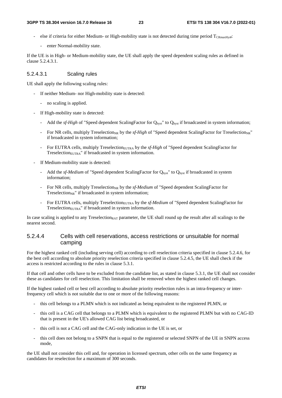- else if criteria for either Medium- or High-mobility state is not detected during time period TCRmaxHys**t**:
	- enter Normal-mobility state.

If the UE is in High- or Medium-mobility state, the UE shall apply the speed dependent scaling rules as defined in clause 5.2.4.3.1.

#### 5.2.4.3.1 Scaling rules

UE shall apply the following scaling rules:

- If neither Medium- nor High-mobility state is detected:
	- no scaling is applied.
- If High-mobility state is detected:
	- Add the *sf-High* of "Speed dependent ScalingFactor for Q<sub>hyst</sub>" to Q<sub>hyst</sub> if broadcasted in system information;
	- For NR cells, multiply Treselection<sub>NR</sub> by the *sf-High* of "Speed dependent ScalingFactor for Treselection<sub>NR</sub>" if broadcasted in system information;
	- For EUTRA cells, multiply Treselection<sub>EUTRA</sub> by the *sf-High* of "Speed dependent ScalingFactor for Treselection<sub>EUTRA</sub>" if broadcasted in system information.
- If Medium-mobility state is detected:
	- Add the *sf-Medium* of "Speed dependent ScalingFactor for Q<sub>hyst</sub>" to Q<sub>hyst</sub> if broadcasted in system information;
	- For NR cells, multiply Treselection<sub>NR</sub> by the *sf-Medium* of "Speed dependent ScalingFactor for Treselection<sub>NR</sub>" if broadcasted in system information;
	- For EUTRA cells, multiply Treselection<sub>EUTRA</sub> by the *sf-Medium* of "Speed dependent ScalingFactor for Treselection<sub>EUTRA</sub>" if broadcasted in system information.

In case scaling is applied to any Treselection<sub>RAT</sub> parameter, the UE shall round up the result after all scalings to the nearest second.

#### 5.2.4.4 Cells with cell reservations, access restrictions or unsuitable for normal camping

For the highest ranked cell (including serving cell) according to cell reselection criteria specified in clause 5.2.4.6, for the best cell according to absolute priority reselection criteria specified in clause 5.2.4.5, the UE shall check if the access is restricted according to the rules in clause 5.3.1.

If that cell and other cells have to be excluded from the candidate list, as stated in clause 5.3.1, the UE shall not consider these as candidates for cell reselection. This limitation shall be removed when the highest ranked cell changes.

If the highest ranked cell or best cell according to absolute priority reselection rules is an intra-frequency or interfrequency cell which is not suitable due to one or more of the following reasons:

- this cell belongs to a PLMN which is not indicated as being equivalent to the registered PLMN, or
- this cell is a CAG cell that belongs to a PLMN which is equivalent to the registered PLMN but with no CAG-ID that is present in the UE's allowed CAG list being broadcasted, or
- this cell is not a CAG cell and the CAG-only indication in the UE is set, or
- this cell does not belong to a SNPN that is equal to the registered or selected SNPN of the UE in SNPN access mode,

the UE shall not consider this cell and, for operation in licensed spectrum, other cells on the same frequency as candidates for reselection for a maximum of 300 seconds.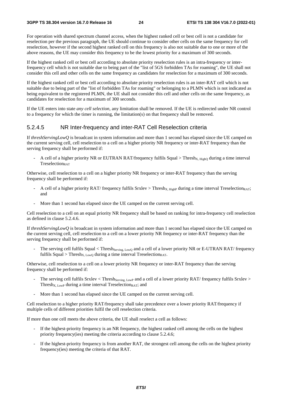For operation with shared spectrum channel access, when the highest ranked cell or best cell is not a candidate for reselection per the previous paragraph, the UE should continue to consider other cells on the same frequency for cell reselection, however if the second highest ranked cell on this frequency is also not suitable due to one or more of the above reasons, the UE may consider this frequency to be the lowest priority for a maximum of 300 seconds.

If the highest ranked cell or best cell according to absolute priority reselection rules is an intra-frequency or interfrequency cell which is not suitable due to being part of the "list of 5GS forbidden TAs for roaming", the UE shall not consider this cell and other cells on the same frequency as candidates for reselection for a maximum of 300 seconds.

If the highest ranked cell or best cell according to absolute priority reselection rules is an inter-RAT cell which is not suitable due to being part of the "list of forbidden TAs for roaming" or belonging to a PLMN which is not indicated as being equivalent to the registered PLMN, the UE shall not consider this cell and other cells on the same frequency, as candidates for reselection for a maximum of 300 seconds.

If the UE enters into state *any cell selection*, any limitation shall be removed. If the UE is redirected under NR control to a frequency for which the timer is running, the limitation(s) on that frequency shall be removed.

#### 5.2.4.5 NR Inter-frequency and inter-RAT Cell Reselection criteria

If *threshServingLowQ* is broadcast in system information and more than 1 second has elapsed since the UE camped on the current serving cell, cell reselection to a cell on a higher priority NR frequency or inter-RAT frequency than the serving frequency shall be performed if:

A cell of a higher priority NR or EUTRAN RAT/frequency fulfils Squal > Thresh<sub>X, High</sub>o during a time interval Treselection<sub>RAT</sub>

Otherwise, cell reselection to a cell on a higher priority NR frequency or inter-RAT frequency than the serving frequency shall be performed if:

- A cell of a higher priority RAT/ frequency fulfils Srxlev > Thresh<sub>X, HighP</sub> during a time interval Treselection<sub>RAT</sub>; and
- More than 1 second has elapsed since the UE camped on the current serving cell.

Cell reselection to a cell on an equal priority NR frequency shall be based on ranking for intra-frequency cell reselection as defined in clause 5.2.4.6.

If *threshServingLowQ* is broadcast in system information and more than 1 second has elapsed since the UE camped on the current serving cell, cell reselection to a cell on a lower priority NR frequency or inter-RAT frequency than the serving frequency shall be performed if:

The serving cell fulfils Squal < Thresh<sub>Serving, LowQ</sub> and a cell of a lower priority NR or E-UTRAN RAT/ frequency fulfils Squal > Thresh<sub>X, Low</sub> during a time interval Treselection<sub>RAT</sub>.

Otherwise, cell reselection to a cell on a lower priority NR frequency or inter-RAT frequency than the serving frequency shall be performed if:

- The serving cell fulfils Srxlev < Thresh<sub>Serving, LowP</sub> and a cell of a lower priority RAT/ frequency fulfils Srxlev > Thresh<sub>X, LowP</sub> during a time interval Treselection<sub>RAT</sub>; and
- More than 1 second has elapsed since the UE camped on the current serving cell.

Cell reselection to a higher priority RAT/frequency shall take precedence over a lower priority RAT/frequency if multiple cells of different priorities fulfil the cell reselection criteria.

If more than one cell meets the above criteria, the UE shall reselect a cell as follows:

- If the highest-priority frequency is an NR frequency, the highest ranked cell among the cells on the highest priority frequency(ies) meeting the criteria according to clause 5.2.4.6;
- If the highest-priority frequency is from another RAT, the strongest cell among the cells on the highest priority frequency(ies) meeting the criteria of that RAT.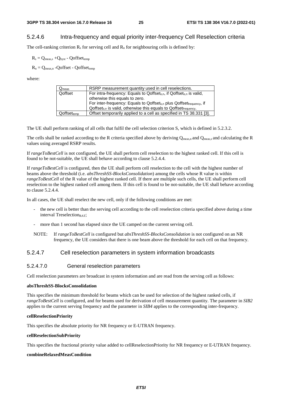#### 5.2.4.6 Intra-frequency and equal priority inter-frequency Cell Reselection criteria

The cell-ranking criterion  $R_s$  for serving cell and  $R_n$  for neighbouring cells is defined by:

 $R_s = Q_{meas.s} + Q_{hvst}$  - Qoffset<sub>temp</sub>

 $R_n = Q_{meas,n}$  -Qoffset - Qoffsettemp

where:

| $Q_{meas}$                       | RSRP measurement quantity used in cell reselections.                                                                                                                                                                                                                                                                              |
|----------------------------------|-----------------------------------------------------------------------------------------------------------------------------------------------------------------------------------------------------------------------------------------------------------------------------------------------------------------------------------|
| Qoffset                          | For intra-frequency: Equals to Qoffset <sub>s,n</sub> , if Qoffset <sub>s,n</sub> is valid,<br>otherwise this equals to zero.<br>For inter-frequency: Equals to Qoffset <sub>s,n</sub> plus Qoffset <sub>frequency</sub> , if<br>$Q$ offset <sub>s.n</sub> is valid, otherwise this equals to $Q$ offset $f_{\text{frequency}}$ . |
| $\mathsf{Qoffset}_\mathsf{temp}$ | Offset temporarily applied to a cell as specified in TS 38.331 [3].                                                                                                                                                                                                                                                               |

The UE shall perform ranking of all cells that fulfil the cell selection criterion S, which is defined in 5.2.3.2.

The cells shall be ranked according to the R criteria specified above by deriving  $Q_{meas,n}$  and  $Q_{meas,s}$  and calculating the R values using averaged RSRP results.

If *rangeToBestCell* is not configured, the UE shall perform cell reselection to the highest ranked cell. If this cell is found to be not-suitable, the UE shall behave according to clause 5.2.4.4.

If *rangeToBestCell* is configured*,* then the UE shall perform cell reselection to the cell with the highest number of beams above the threshold (i.e. *absThreshSS-BlocksConsolidation*) among the cells whose R value is within *rangeToBestCell* of the R value of the highest ranked cell. If there are multiple such cells, the UE shall perform cell reselection to the highest ranked cell among them. If this cell is found to be not-suitable, the UE shall behave according to clause 5.2.4.4.

In all cases, the UE shall reselect the new cell, only if the following conditions are met:

- the new cell is better than the serving cell according to the cell reselection criteria specified above during a time interval Treselection<sub>RAT</sub>;
- more than 1 second has elapsed since the UE camped on the current serving cell.
- NOTE: If *rangeToBestCell* is configured but *absThreshSS-BlocksConsolidation* is not configured on an NR frequency, the UE considers that there is one beam above the threshold for each cell on that frequency.

#### 5.2.4.7 Cell reselection parameters in system information broadcasts

#### 5.2.4.7.0 General reselection parameters

Cell reselection parameters are broadcast in system information and are read from the serving cell as follows:

#### **absThreshSS-BlocksConsolidation**

This specifies the minimum threshold for beams which can be used for selection of the highest ranked cells, if *rangeToBestCell* is configured, and for beams used for derivation of cell measurement quantity. The parameter in *SIB2* applies to the current serving frequency and the parameter in *SIB4* applies to the corresponding inter-frequency.

#### **cellReselectionPriority**

This specifies the absolute priority for NR frequency or E-UTRAN frequency.

#### **cellReselectionSubPriority**

This specifies the fractional priority value added to cellReselectionPriority for NR frequency or E-UTRAN frequency.

#### **combineRelaxedMeasCondition**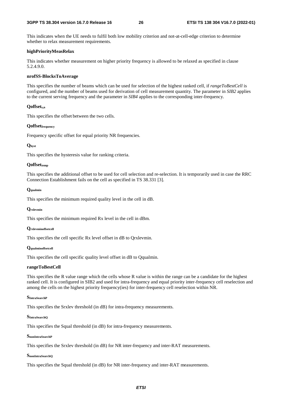This indicates when the UE needs to fulfil both low mobility criterion and not-at-cell-edge criterion to determine whether to relax measurement requirements.

#### **highPriorityMeasRelax**

This indicates whether measurement on higher priority frequency is allowed to be relaxed as specified in clause 5.2.4.9.0.

#### **nrofSS-BlocksToAverage**

This specifies the number of beams which can be used for selection of the highest ranked cell, if *rangeToBestCell* is configured, and the number of beams used for derivation of cell measurement quantity. The parameter in *SIB2* applies to the current serving frequency and the parameter in *SIB4* applies to the corresponding inter-frequency.

#### **Qoffsets,n**

This specifies the offset between the two cells.

#### **Qoffsetfrequency**

Frequency specific offset for equal priority NR frequencies.

#### **Qhyst**

This specifies the hysteresis value for ranking criteria.

#### **Qoffsettemp**

This specifies the additional offset to be used for cell selection and re-selection. It is temporarily used in case the RRC Connection Establishment fails on the cell as specified in TS 38.331 [3].

#### **Qqualmin**

This specifies the minimum required quality level in the cell in dB.

#### **Qrxlevmin**

This specifies the minimum required Rx level in the cell in dBm.

#### **Qrxlevminoffsetcell**

This specifies the cell specific Rx level offset in dB to Qrxlevmin.

#### **Qqualminoffsetcell**

This specifies the cell specific quality level offset in dB to Qqualmin.

#### **rangeToBestCell**

This specifies the R value range which the cells whose R value is within the range can be a candidate for the highest ranked cell. It is configured in SIB2 and used for intra-frequency and equal priority inter-frequency cell reselection and among the cells on the highest priority frequency(ies) for inter-frequency cell reselection within NR.

#### **SIntraSearchP**

This specifies the Srxlev threshold (in dB) for intra-frequency measurements.

#### **SIntraSearchQ**

This specifies the Squal threshold (in dB) for intra-frequency measurements.

#### **SnonIntraSearchP**

This specifies the Srxlev threshold (in dB) for NR inter-frequency and inter-RAT measurements.

#### **SnonIntraSearchQ**

This specifies the Squal threshold (in dB) for NR inter-frequency and inter-RAT measurements.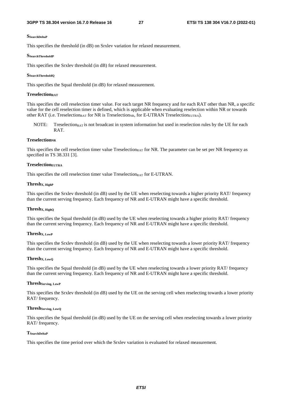#### **SSearchDeltaP**

This specifies the threshold (in dB) on Srxlev variation for relaxed measurement.

#### **SSearchThresholdP**

This specifies the Srxlev threshold (in dB) for relaxed measurement.

#### **SSearchThresholdQ**

This specifies the Squal threshold (in dB) for relaxed measurement.

#### **TreselectionRAT**

This specifies the cell reselection timer value. For each target NR frequency and for each RAT other than NR, a specific value for the cell reselection timer is defined, which is applicable when evaluating reselection within NR or towards other RAT (i.e. Treselection<sub>RAT</sub> for NR is Treselection<sub>NR</sub>, for E-UTRAN Treselection<sub>EUTRA</sub>).

NOTE: Treselection<sub>RAT</sub> is not broadcast in system information but used in reselection rules by the UE for each RAT.

#### **TreselectionNR**

This specifies the cell reselection timer value Treselection<sub>RAT</sub> for NR. The parameter can be set per NR frequency as specified in TS 38.331 [3].

#### **TreselectionEUTRA**

This specifies the cell reselection timer value  $T$ reselection<sub>RAT</sub> for E-UTRAN.

#### **ThreshX, HighP**

This specifies the Srxlev threshold (in dB) used by the UE when reselecting towards a higher priority RAT/ frequency than the current serving frequency. Each frequency of NR and E-UTRAN might have a specific threshold.

#### **ThreshX, HighQ**

This specifies the Squal threshold (in dB) used by the UE when reselecting towards a higher priority RAT/ frequency than the current serving frequency. Each frequency of NR and E-UTRAN might have a specific threshold.

#### **ThreshX, LowP**

This specifies the Srxlev threshold (in dB) used by the UE when reselecting towards a lower priority RAT/ frequency than the current serving frequency. Each frequency of NR and E-UTRAN might have a specific threshold.

#### **ThreshX, LowQ**

This specifies the Squal threshold (in dB) used by the UE when reselecting towards a lower priority RAT/ frequency than the current serving frequency. Each frequency of NR and E-UTRAN might have a specific threshold.

#### **ThreshServing, LowP**

This specifies the Srxlev threshold (in dB) used by the UE on the serving cell when reselecting towards a lower priority RAT/ frequency.

#### **ThreshServing, LowQ**

This specifies the Squal threshold (in dB) used by the UE on the serving cell when reselecting towards a lower priority RAT/ frequency.

#### **TSearchDeltaP**

This specifies the time period over which the Srxlev variation is evaluated for relaxed measurement.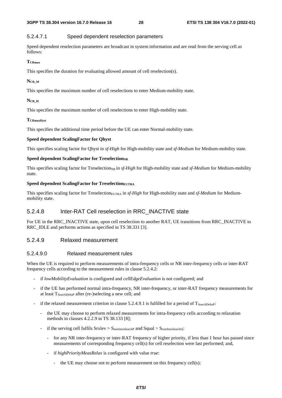#### 5.2.4.7.1 Speed dependent reselection parameters

Speed dependent reselection parameters are broadcast in system information and are read from the serving cell as follows:

#### **TCRmax**

This specifies the duration for evaluating allowed amount of cell reselection(s).

#### **NCR\_M**

This specifies the maximum number of cell reselections to enter Medium-mobility state.

#### **NCR\_H**

This specifies the maximum number of cell reselections to enter High-mobility state.

#### **TCRmaxHyst**

This specifies the additional time period before the UE can enter Normal-mobility state.

#### **Speed dependent ScalingFactor for Qhyst**

This specifies scaling factor for Qhyst in *sf-High* for High-mobility state and *sf-Medium* for Medium-mobility state.

#### **Speed dependent ScalingFactor for TreselectionNR**

This specifies scaling factor for Treselection<sub>NR</sub> in *sf-High* for High-mobility state and *sf-Medium* for Medium-mobility state.

#### **Speed dependent ScalingFactor for TreselectionEUTRA**

This specifies scaling factor for Treselection<sub>EUTRA</sub> in *sf-High* for High-mobility state and *sf-Medium* for Mediummobility state.

### 5.2.4.8 Inter-RAT Cell reselection in RRC\_INACTIVE state

For UE in the RRC\_INACTIVE state, upon cell reselection to another RAT, UE transitions from RRC\_INACTIVE to RRC\_IDLE and performs actions as specified in TS 38.331 [3].

#### 5.2.4.9 Relaxed measurement

#### 5.2.4.9.0 Relaxed measurement rules

When the UE is required to perform measurements of intra-frequency cells or NR inter-frequency cells or inter-RAT frequency cells according to the measurement rules in clause 5.2.4.2:

- if *lowMobilityEvaluation* is configured and *cellEdgeEvaluation* is not configured; and
- if the UE has performed normal intra-frequency, NR inter-frequency, or inter-RAT frequency measurements for at least  $T_{SearchDeltaP}$  after (re-)selecting a new cell; and
- if the relaxed measurement criterion in clause  $5.2.4.9.1$  is fulfilled for a period of  $T_{\text{SearchDelta}}$ :
	- the UE may choose to perform relaxed measurements for intra-frequency cells according to relaxation methods in clauses 4.2.2.9 in TS 38.133 [8];
	- if the serving cell fulfils  $S_{\text{rx}}$ lev  $> S_{\text{nonIntraSearch}}$  and  $S_{\text{qual}} > S_{\text{nonIntraSearchO}}$ :
		- for any NR inter-frequency or inter-RAT frequency of higher priority, if less than 1 hour has passed since measurements of corresponding frequency cell(s) for cell reselection were last performed; and,
		- if *highPriorityMeasRelax* is configured with value *true*:
			- the UE may choose not to perform measurement on this frequency cell(s);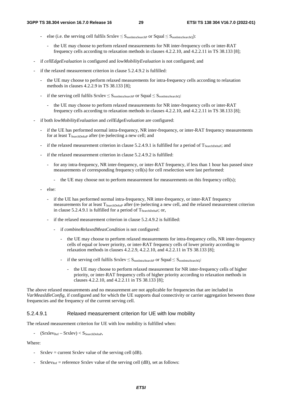- else (i.e. the serving cell fulfils  $Srxlev \leq S_{nonIntraSearchP}$  or  $Squal \leq S_{nonIntraSearchQ}$ ):
	- the UE may choose to perform relaxed measurements for NR inter-frequency cells or inter-RAT frequency cells according to relaxation methods in clauses 4.2.2.10, and 4.2.2.11 in TS 38.133 [8];
- if *cellEdgeEvaluation* is configured and *lowMobilityEvaluation* is not configured; and
- if the relaxed measurement criterion in clause 5.2.4.9.2 is fulfilled:
	- the UE may choose to perform relaxed measurements for intra-frequency cells according to relaxation methods in clauses 4.2.2.9 in TS 38.133 [8];
	- if the serving cell fulfils  $Srxlev \leq S_{nonIntraSearchP}$  or  $Squal \leq S_{nonIntraSearchO}$ :
		- the UE may choose to perform relaxed measurements for NR inter-frequency cells or inter-RAT frequency cells according to relaxation methods in clauses 4.2.2.10, and 4.2.2.11 in TS 38.133 [8];
- if both *lowMobilityEvaluation* and *cellEdgeEvaluation* are configured:
	- if the UE has performed normal intra-frequency, NR inter-frequency, or inter-RAT frequency measurements for at least  $T_{SearchDeltaP}$  after (re-)selecting a new cell; and
	- if the relaxed measurement criterion in clause 5.2.4.9.1 is fulfilled for a period of  $T_{\text{SearchDelta}}$ ; and
	- if the relaxed measurement criterion in clause 5.2.4.9.2 is fulfilled:
		- for any intra-frequency, NR inter-frequency, or inter-RAT frequency, if less than 1 hour has passed since measurements of corresponding frequency cell(s) for cell reselection were last performed:
			- the UE may choose not to perform measurement for measurements on this frequency cell(s);
	- else:
		- if the UE has performed normal intra-frequency, NR inter-frequency, or inter-RAT frequency measurements for at least T<sub>SearchDeltaP</sub> after (re-)selecting a new cell, and the relaxed measurement criterion in clause  $5.2.4.9.1$  is fulfilled for a period of  $T_{SearchDeltaP}$ ; or,
		- if the relaxed measurement criterion in clause 5.2.4.9.2 is fulfilled:
			- if *combineRelaxedMeasCondition* is not configured:
				- the UE may choose to perform relaxed measurements for intra-frequency cells, NR inter-frequency cells of equal or lower priority, or inter-RAT frequency cells of lower priority according to relaxation methods in clauses 4.2.2.9, 4.2.2.10, and 4.2.2.11 in TS 38.133 [8];
				- if the serving cell fulfils  $S_r$ xlev  $\leq S_{\text{nonIntraSearchP}}$  or  $S$ qual  $\leq S_{\text{nonIntraSearchO}}$ :
					- the UE may choose to perform relaxed measurement for NR inter-frequency cells of higher priority, or inter-RAT frequency cells of higher priority according to relaxation methods in clauses 4.2.2.10, and 4.2.2.11 in TS 38.133 [8];

The above relaxed measurements and no measurement are not applicable for frequencies that are included in *VarMeasIdleConfig*, if configured and for which the UE supports dual connectivity or carrier aggregation between those frequencies and the frequency of the current serving cell.

#### 5.2.4.9.1 Relaxed measurement criterion for UE with low mobility

The relaxed measurement criterion for UE with low mobility is fulfilled when:

 $(Srxlev_{Ref} - Srxlev) < S_{SearchDeltaP}$ ,

Where:

- Srxlev = current Srxlev value of the serving cell (dB).
- $S$ rxlev<sub>Ref</sub> = reference Srxlev value of the serving cell (dB), set as follows: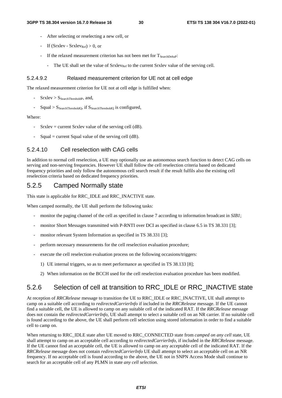- After selecting or reselecting a new cell, or
- If  $(Srxlev Srxlev_{Ref}) > 0$ , or
- If the relaxed measurement criterion has not been met for  $T_{SearchDelta}$ :
	- The UE shall set the value of  $Srxlev_{Ref}$  to the current Srxlev value of the serving cell.

#### 5.2.4.9.2 Relaxed measurement criterion for UE not at cell edge

The relaxed measurement criterion for UE not at cell edge is fulfilled when:

- $Srxlev > S<sub>SearchThresholdP</sub>$ , and,
- $Squal > S<sub>SearchThresholdQ</sub>$ , if  $S<sub>SearchThresholdQ</sub>$  is configured,

#### Where:

- $S$ rxlev = current Srxlev value of the serving cell (dB).
- $Squal = current$  Squal value of the serving cell (dB).

#### 5.2.4.10 Cell reselection with CAG cells

In addition to normal cell reselection, a UE may optionally use an autonomous search function to detect CAG cells on serving and non-serving frequencies. However UE shall follow the cell reselection criteria based on dedicated frequency priorities and only follow the autonomous cell search result if the result fulfils also the existing cell reselection criteria based on dedicated frequency priorities.

### 5.2.5 Camped Normally state

This state is applicable for RRC\_IDLE and RRC\_INACTIVE state.

When camped normally, the UE shall perform the following tasks:

- monitor the paging channel of the cell as specified in clause 7 according to information broadcast in *SIB1*;
- monitor Short Messages transmitted with P-RNTI over DCI as specified in clause 6.5 in TS 38.331 [3];
- monitor relevant System Information as specified in TS 38.331 [3];
- perform necessary measurements for the cell reselection evaluation procedure;
- execute the cell reselection evaluation process on the following occasions/triggers:
	- 1) UE internal triggers, so as to meet performance as specified in TS 38.133 [8];
	- 2) When information on the BCCH used for the cell reselection evaluation procedure has been modified.

## 5.2.6 Selection of cell at transition to RRC\_IDLE or RRC\_INACTIVE state

At reception of *RRCRelease* message to transition the UE to RRC\_IDLE or RRC\_INACTIVE, UE shall attempt to camp on a suitable cell according to *redirectedCarrierInfo* if included in the *RRCRelease* message. If the UE cannot find a suitable cell, the UE is allowed to camp on any suitable cell of the indicated RAT. If the *RRCRelease* message does not contain the *redirectedCarrierInfo,* UE shall attempt to select a suitable cell on an NR carrier. If no suitable cell is found according to the above, the UE shall perform cell selection using stored information in order to find a suitable cell to camp on.

When returning to RRC\_IDLE state after UE moved to RRC\_CONNECTED state from *camped on any cell* state, UE shall attempt to camp on an acceptable cell according to *redirectedCarrierInfo*, if included in the *RRCRelease* message. If the UE cannot find an acceptable cell, the UE is allowed to camp on any acceptable cell of the indicated RAT. If the *RRCRelease* message does not contain *redirectedCarrierInfo* UE shall attempt to select an acceptable cell on an NR frequency. If no acceptable cell is found according to the above, the UE not in SNPN Access Mode shall continue to search for an acceptable cell of any PLMN in state *any cell selection*.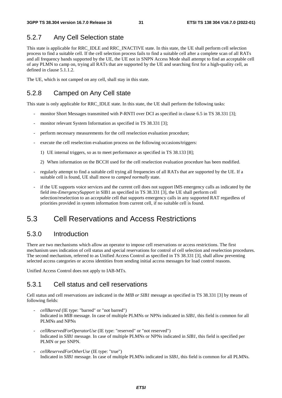### 5.2.7 Any Cell Selection state

This state is applicable for RRC\_IDLE and RRC\_INACTIVE state. In this state, the UE shall perform cell selection process to find a suitable cell. If the cell selection process fails to find a suitable cell after a complete scan of all RATs and all frequency bands supported by the UE, the UE not in SNPN Access Mode shall attempt to find an acceptable cell of any PLMN to camp on, trying all RATs that are supported by the UE and searching first for a high-quality cell, as defined in clause 5.1.1.2.

The UE, which is not camped on any cell, shall stay in this state.

## 5.2.8 Camped on Any Cell state

This state is only applicable for RRC\_IDLE state. In this state, the UE shall perform the following tasks:

- monitor Short Messages transmitted with P-RNTI over DCI as specified in clause 6.5 in TS 38.331 [3];
- monitor relevant System Information as specified in TS 38.331 [3]:
- perform necessary measurements for the cell reselection evaluation procedure;
- execute the cell reselection evaluation process on the following occasions/triggers:
	- 1) UE internal triggers, so as to meet performance as specified in TS 38.133 [8];
	- 2) When information on the BCCH used for the cell reselection evaluation procedure has been modified.
- regularly attempt to find a suitable cell trying all frequencies of all RATs that are supported by the UE. If a suitable cell is found, UE shall move to *camped normally* state.
- if the UE supports voice services and the current cell does not support IMS emergency calls as indicated by the field *ims-EmergencySupport* in SIB1 as specified in TS 38.331 [3], the UE shall perform cell selection/reselection to an acceptable cell that supports emergency calls in any supported RAT regardless of priorities provided in system information from current cell, if no suitable cell is found.

## 5.3 Cell Reservations and Access Restrictions

### 5.3.0 Introduction

There are two mechanisms which allow an operator to impose cell reservations or access restrictions. The first mechanism uses indication of cell status and special reservations for control of cell selection and reselection procedures. The second mechanism, referred to as Unified Access Control as specified in TS 38.331 [3], shall allow preventing selected access categories or access identities from sending initial access messages for load control reasons.

Unified Access Control does not apply to IAB-MTs.

### 5.3.1 Cell status and cell reservations

Cell status and cell reservations are indicated in the *MIB or SIB1* message as specified in TS 38.331 [3] by means of following fields:

- *cellBarred* (IE type: "barred" or "not barred") Indicated in *MIB* message. In case of multiple PLMNs or NPNs indicated in *SIB1*, this field is common for all PLMNs and NPNs
- *cellReservedForOperatorUse* (IE type: "reserved" or "not reserved") Indicated in *SIB1* message*.* In case of multiple PLMNs or NPNs indicated in *SIB1*, this field is specified per PLMN or per SNPN.
- *cellReservedForOtherUse* (IE type: "true") Indicated in *SIB1* message. In case of multiple PLMNs indicated in *SIB1*, this field is common for all PLMNs.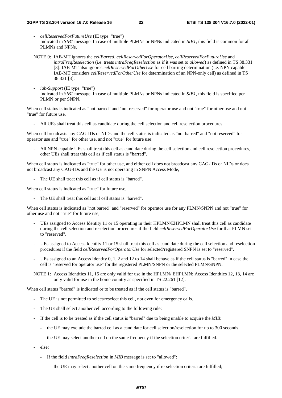- *cellReservedForFutureUse* (IE type: "true") Indicated in *SIB1* message. In case of multiple PLMNs or NPNs indicated in *SIB1*, this field is common for all PLMNs and NPNs.
- NOTE 0: IAB-MT ignores the *cellBarred*, *cellReservedForOperatorUse, cellReservedForFutureUse* and *intraFreqReselection* (i.e. treats *intraFreqReselection* as if it was set to *allowed*) as defined in TS 38.331 [3]. IAB-MT also ignores *cellReservedForOtherUse* for cell barring determination (i.e. NPN capable IAB-MT considers *cellReservedForOtherUse* for determination of an NPN-only cell) as defined in TS 38.331 [3].
- *iab-Support* (IE type: "true") Indicated in *SIB1* message. In case of multiple PLMNs or NPNs indicated in *SIB1*, this field is specified per PLMN or per SNPN.

When cell status is indicated as "not barred" and "not reserved" for operator use and not "true" for other use and not "true" for future use,

- All UEs shall treat this cell as candidate during the cell selection and cell reselection procedures.

When cell broadcasts any CAG-IDs or NIDs and the cell status is indicated as "not barred" and "not reserved" for operator use and "true" for other use, and not "true" for future use:

- All NPN-capable UEs shall treat this cell as candidate during the cell selection and cell reselection procedures, other UEs shall treat this cell as if cell status is "barred".

When cell status is indicated as "true" for other use, and either cell does not broadcast any CAG-IDs or NIDs or does not broadcast any CAG-IDs and the UE is not operating in SNPN Access Mode,

The UE shall treat this cell as if cell status is "barred".

When cell status is indicated as "true" for future use,

- The UE shall treat this cell as if cell status is "barred".

When cell status is indicated as "not barred" and "reserved" for operator use for any PLMN/SNPN and not "true" for other use and not "true" for future use,

- UEs assigned to Access Identity 11 or 15 operating in their HPLMN/EHPLMN shall treat this cell as candidate during the cell selection and reselection procedures if the field *cellReservedForOperatorUse* for that PLMN set to "reserved".
- UEs assigned to Access Identity 11 or 15 shall treat this cell as candidate during the cell selection and reselection procedures if the field *cellReservedForOperatorUse* for selected/registered SNPN is set to "reserved".
- UEs assigned to an Access Identity 0, 1, 2 and 12 to 14 shall behave as if the cell status is "barred" in case the cell is "reserved for operator use" for the registered PLMN/SNPN or the selected PLMN/SNPN.
- NOTE 1: Access Identities 11, 15 are only valid for use in the HPLMN/ EHPLMN; Access Identities 12, 13, 14 are only valid for use in the home country as specified in TS 22.261 [12].

When cell status "barred" is indicated or to be treated as if the cell status is "barred",

- The UE is not permitted to select/reselect this cell, not even for emergency calls.
- The UE shall select another cell according to the following rule:
- If the cell is to be treated as if the cell status is "barred" due to being unable to acquire the *MIB*:
	- the UE may exclude the barred cell as a candidate for cell selection/reselection for up to 300 seconds.
	- the UE may select another cell on the same frequency if the selection criteria are fulfilled.
- else:
	- If the field *intraFreqReselection* in *MIB* message is set to "allowed":
		- the UE may select another cell on the same frequency if re-selection criteria are fulfilled;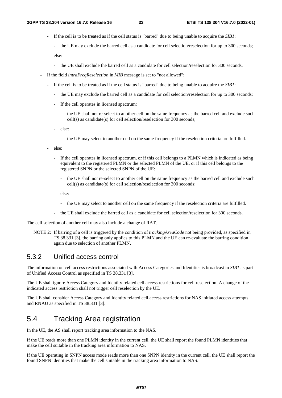- If the cell is to be treated as if the cell status is "barred" due to being unable to acquire the *SIB1*:
	- the UE may exclude the barred cell as a candidate for cell selection/reselection for up to 300 seconds;
- else:
	- the UE shall exclude the barred cell as a candidate for cell selection/reselection for 300 seconds.
- If the field *intraFreqReselection* in *MIB* message is set to "not allowed":
	- If the cell is to be treated as if the cell status is "barred" due to being unable to acquire the *SIB1*:
		- the UE may exclude the barred cell as a candidate for cell selection/reselection for up to 300 seconds;
		- If the cell operates in licensed spectrum:
			- the UE shall not re-select to another cell on the same frequency as the barred cell and exclude such cell(s) as candidate(s) for cell selection/reselection for 300 seconds;
		- else:
			- the UE may select to another cell on the same frequency if the reselection criteria are fulfilled.
	- else:
		- If the cell operates in licensed spectrum, or if this cell belongs to a PLMN which is indicated as being equivalent to the registered PLMN or the selected PLMN of the UE, or if this cell belongs to the registered SNPN or the selected SNPN of the UE:
			- the UE shall not re-select to another cell on the same frequency as the barred cell and exclude such cell(s) as candidate(s) for cell selection/reselection for 300 seconds;
		- else:
			- the UE may select to another cell on the same frequency if the reselection criteria are fulfilled.
		- the UE shall exclude the barred cell as a candidate for cell selection/reselection for 300 seconds.

The cell selection of another cell may also include a change of RAT.

NOTE 2: If barring of a cell is triggered by the condition of *trackingAreaCode* not being provided, as specified in TS 38.331 [3], the barring only applies to this PLMN and the UE can re-evaluate the barring condition again due to selection of another PLMN.

### 5.3.2 Unified access control

The information on cell access restrictions associated with Access Categories and Identities is broadcast in *SIB1* as part of Unified Access Control as specified in TS 38.331 [3].

The UE shall ignore Access Category and Identity related cell access restrictions for cell reselection. A change of the indicated access restriction shall not trigger cell reselection by the UE.

The UE shall consider Access Category and Identity related cell access restrictions for NAS initiated access attempts and RNAU as specified in TS 38.331 [3].

## 5.4 Tracking Area registration

In the UE, the AS shall report tracking area information to the NAS.

If the UE reads more than one PLMN identity in the current cell, the UE shall report the found PLMN identities that make the cell suitable in the tracking area information to NAS.

If the UE operating in SNPN access mode reads more than one SNPN identity in the current cell, the UE shall report the found SNPN identities that make the cell suitable in the tracking area information to NAS.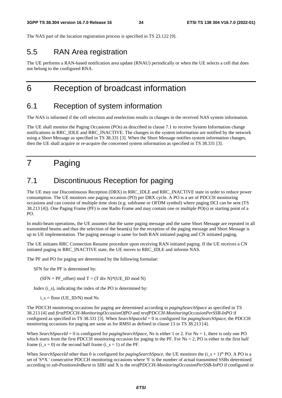The NAS part of the location registration process is specified in TS 23.122 [9].

## 5.5 RAN Area registration

The UE performs a RAN-based notification area update (RNAU) periodically or when the UE selects a cell that does not belong to the configured RNA.

## 6 Reception of broadcast information

## 6.1 Reception of system information

The NAS is informed if the cell selection and reselection results in changes in the received NAS system information.

The UE shall monitor the Paging Occasions (POs) as described in clause 7.1 to receive System Information change notifications in RRC\_IDLE and RRC\_INACTIVE. The changes in the system information are notified by the network using a Short Message as specified in TS 38.331 [3]. When the Short Message notifies system information changes, then the UE shall acquire or re-acquire the concerned system information as specified in TS 38.331 [3].

## 7 Paging

## 7.1 Discontinuous Reception for paging

The UE may use Discontinuous Reception (DRX) in RRC\_IDLE and RRC\_INACTIVE state in order to reduce power consumption. The UE monitors one paging occasion (PO) per DRX cycle. A PO is a set of PDCCH monitoring occasions and can consist of multiple time slots (e.g. subframe or OFDM symbol) where paging DCI can be sent (TS 38.213 [4]). One Paging Frame (PF) is one Radio Frame and may contain one or multiple PO(s) or starting point of a PO.

In multi-beam operations, the UE assumes that the same paging message and the same Short Message are repeated in all transmitted beams and thus the selection of the beam(s) for the reception of the paging message and Short Message is up to UE implementation. The paging message is same for both RAN initiated paging and CN initiated paging.

The UE initiates RRC Connection Resume procedure upon receiving RAN initiated paging. If the UE receives a CN initiated paging in RRC\_INACTIVE state, the UE moves to RRC\_IDLE and informs NAS.

The PF and PO for paging are determined by the following formulae:

SFN for the PF is determined by:

 $(SFN + PF \text{ offset}) \text{ mod } T = (T \text{ div } N)^*(UE \text{ ID } \text{mod } N)$ 

Index  $(i_s)$ , indicating the index of the PO is determined by:

 $i_s$  = floor (UE\_ID/N) mod Ns

The PDCCH monitoring occasions for paging are determined according to *pagingSearchSpace* as specified in TS 38.213 [4] and *firstPDCCH-MonitoringOccasionOfPO* and *nrofPDCCH-MonitoringOccasionPerSSB-InPO* if configured as specified in TS 38.331 [3]. When *SearchSpaceId* = 0 is configured for *pagingSearchSpace*, the PDCCH monitoring occasions for paging are same as for RMSI as defined in clause 13 in TS 38.213 [4].

When *SearchSpaceId* = 0 is configured for *pagingSearchSpace*, Ns is either 1 or 2. For Ns = 1, there is only one PO which starts from the first PDCCH monitoring occasion for paging in the PF. For  $Ns = 2$ , PO is either in the first half frame (i\_s = 0) or the second half frame (i\_s = 1) of the PF.

When *SearchSpaceId* other than 0 is configured for *pagingSearchSpace*, the UE monitors the  $(i_s + 1)<sup>th</sup>$  PO. A PO is a set of 'S\*X ' consecutive PDCCH monitoring occasions where 'S' is the number of actual transmitted SSBs determined according to *ssb-PositionsInBurst* in *SIB1* and X is the *nrofPDCCH-MonitoringOccasionPerSSB-InPO* if configured or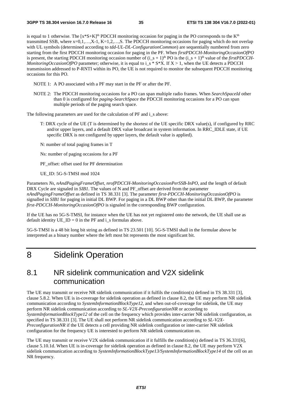is equal to 1 otherwise. The  $[x*S+K]^{\text{th}}$  PDCCH monitoring occasion for paging in the PO corresponds to the  $K^{\text{th}}$ transmitted SSB, where  $x=0,1,...,X-1$ ,  $K=1,2,...,S$ . The PDCCH monitoring occasions for paging which do not overlap with UL symbols (determined according to *tdd-UL-DL-ConfigurationCommon*) are sequentially numbered from zero starting from the first PDCCH monitoring occasion for paging in the PF. When *firstPDCCH-MonitoringOccasionOfPO*  is present, the starting PDCCH monitoring occasion number of  $(i_s + 1)$ <sup>th</sup> PO is the  $(i_s + 1)$ <sup>th</sup> value of the *firstPDCCH*-*MonitoringOccasionOfPO* parameter; otherwise, it is equal to i\_s \* S\*X. If X > 1, when the UE detects a PDCCH transmission addressed to P-RNTI within its PO, the UE is not required to monitor the subsequent PDCCH monitoring occasions for this PO.

NOTE 1: A PO associated with a PF may start in the PF or after the PF.

NOTE 2: The PDCCH monitoring occasions for a PO can span multiple radio frames. When *SearchSpaceId* other than 0 is configured for *paging-SearchSpace* the PDCCH monitoring occasions for a PO can span multiple periods of the paging search space.

The following parameters are used for the calculation of PF and i\_s above:

- T: DRX cycle of the UE (T is determined by the shortest of the UE specific DRX value(s), if configured by RRC and/or upper layers, and a default DRX value broadcast in system information. In RRC\_IDLE state, if UE specific DRX is not configured by upper layers, the default value is applied).
- N: number of total paging frames in T

Ns: number of paging occasions for a PF

PF offset: offset used for PF determination

UE\_ID: 5G-S-TMSI mod 1024

Parameters *Ns*, *nAndPagingFrameOffset*, *nrofPDCCH-MonitoringOccasionPerSSB-InPO*, and the length of default DRX Cycle are signaled in *SIB1*. The values of N and PF offset are derived from the parameter *nAndPagingFrameOffset* as defined in TS 38.331 [3]. The parameter *first-PDCCH-MonitoringOccasionOfPO* is signalled in *SIB1* for paging in initial DL BWP. For paging in a DL BWP other than the initial DL BWP, the parameter *first-PDCCH-MonitoringOccasionOfPO* is signaled in the corresponding BWP configuration.

If the UE has no 5G-S-TMSI, for instance when the UE has not yet registered onto the network, the UE shall use as default identity UE  $ID = 0$  in the PF and i\_s formulas above.

5G-S-TMSI is a 48 bit long bit string as defined in TS 23.501 [10]. 5G-S-TMSI shall in the formulae above be interpreted as a binary number where the left most bit represents the most significant bit.

8 Sidelink Operation

## 8.1 NR sidelink communication and V2X sidelink communication

The UE may transmit or receive NR sidelink communication if it fulfils the condition(s) defined in TS 38.331 [3], clause 5.8.2. When UE is in-coverage for sidelink operation as defined in clause 8.2, the UE may perform NR sidelink communication according to *SystemInformationBlockType12,* and when out-of-coverage for sidelink, the UE may perform NR sidelink communication according to *SL-V2X-PreconfigurationNR* or according to *SystemInformationBlockType12* of the cell on the frequency which provides inter-carrier NR sidelink configuration, as specified in TS 38.331 [3]. The UE shall not perform NR sidelink communication according to *SL-V2X-PreconfigurationNR* if the UE detects a cell providing NR sidelink configuration or inter-carrier NR sidelink configuration for the frequency UE is interested to perform NR sidelink communication on.

The UE may transmit or receive V2X sidelink communication if it fulfills the condition(s) defined in TS 36.331[6], clause 5.10.1d. When UE is in-coverage for sidelink operation as defined in clause 8.2, the UE may perform V2X sidelink communication according to *SystemInformationBlockType13/SystemInformationBlockType14* of the cell on an NR frequency.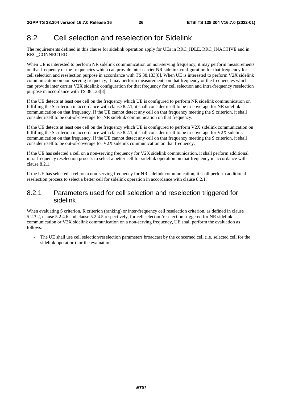## 8.2 Cell selection and reselection for Sidelink

The requirements defined in this clause for sidelink operation apply for UEs in RRC\_IDLE, RRC\_INACTIVE and in RRC\_CONNECTED.

When UE is interested to perform NR sidelink communication on non-serving frequency, it may perform measurements on that frequency or the frequencies which can provide inter carrier NR sidelink configuration for that frequency for cell selection and reselection purpose in accordance with TS 38.133[8]. When UE is interested to perform V2X sidelink communication on non-serving frequency, it may perform measurements on that frequency or the frequencies which can provide inter carrier V2X sidelink configuration for that frequency for cell selection and intra-frequency reselection purpose in accordance with TS 38.133[8].

If the UE detects at least one cell on the frequency which UE is configured to perform NR sidelink communication on fulfilling the S criterion in accordance with clause 8.2.1, it shall consider itself to be in-coverage for NR sidelink communication on that frequency. If the UE cannot detect any cell on that frequency meeting the S criterion, it shall consider itself to be out-of-coverage for NR sidelink communication on that frequency.

If the UE detects at least one cell on the frequency which UE is configured to perform V2X sidelink communication on fulfilling the S criterion in accordance with clause 8.2.1, it shall consider itself to be in-coverage for V2X sidelink communication on that frequency. If the UE cannot detect any cell on that frequency meeting the S criterion, it shall consider itself to be out-of-coverage for V2X sidelink communication on that frequency.

If the UE has selected a cell on a non-serving frequency for V2X sidelink communication, it shall perform additional intra-frequency reselection process to select a better cell for sidelink operation on that frequency in accordance with clause 8.2.1.

If the UE has selected a cell on a non-serving frequency for NR sidelink communication, it shall perform additional reselection process to select a better cell for sidelink operation in accordance with clause 8.2.1.

## 8.2.1 Parameters used for cell selection and reselection triggered for sidelink

When evaluating S criterion, R criterion (ranking) or inter-frequency cell reselection criterion, as defined in clause 5.2.3.2, clause 5.2.4.6 and clause 5.2.4.5 respectively, for cell selection/reselection triggered for NR sidelink communication or V2X sidelink communication on a non-serving frequency, UE shall perform the evaluation as follows:

- The UE shall use cell selection/reselection parameters broadcast by the concerned cell (i.e. selected cell for the sidelink operation) for the evaluation.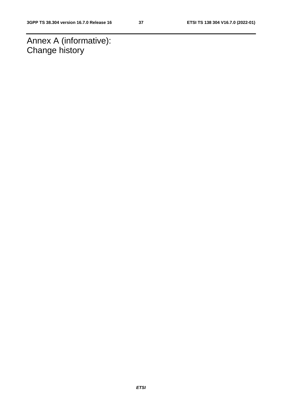Annex A (informative): Change history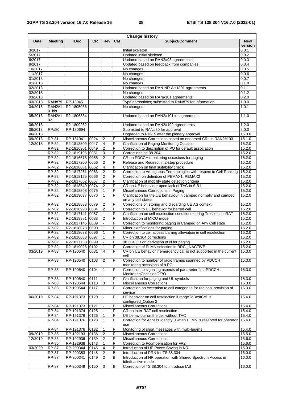|         |                        |                        |              |                         |         | <b>Change history</b>                                                                            |                       |
|---------|------------------------|------------------------|--------------|-------------------------|---------|--------------------------------------------------------------------------------------------------|-----------------------|
| Date    | <b>Meeting</b>         | TDoc                   | <b>CR</b>    | <b>Rev</b>              | Cat     | Subject/Comment                                                                                  | <b>New</b><br>version |
| 3/2017  |                        |                        |              |                         |         | Initial skeleton                                                                                 | 0.0.1                 |
| 5/2017  |                        |                        |              |                         |         | Updated initial skeleton                                                                         | 0.0.2                 |
| 6/2017  |                        |                        |              |                         |         | Updated based on RAN2#98 agreements                                                              | 0.0.3                 |
| 8/2017  |                        |                        |              |                         |         | Updated based on feedback from companies                                                         | 0.0.4                 |
| 10/2017 |                        |                        |              |                         |         | No changes                                                                                       | 0.0.5                 |
| 11/2017 |                        |                        |              |                         |         | No changes                                                                                       | 0.0.6                 |
| 01/2018 |                        |                        |              |                         |         | No changes                                                                                       | 0.0.7                 |
| 01/2018 |                        |                        |              |                         |         | No changes                                                                                       | 0.1.0                 |
| 02/2018 |                        |                        |              |                         |         | Updated based on RAN-NR-AH1801 agreements                                                        | 0.1.1                 |
| 02/2018 |                        |                        |              |                         |         | No changes                                                                                       | 0.1.2                 |
| 03/2018 |                        |                        |              |                         |         | Updated based on RAN#101 agreements                                                              | 0.2.0                 |
| 03/2018 | <b>RAN#79</b>          | RP-180451              |              |                         |         | Typo corrections; submitted to RAN#79 for information                                            | 1.0.0                 |
| 04/2018 | <b>RAN2#1</b><br>01bis | R2-1805086             |              |                         |         | No changes                                                                                       | 1.0.1                 |
| 05/2018 | <b>RAN2#1</b><br>02    | R2-1806884             |              |                         |         | Updated based on RAN2#101bis agreements                                                          | 1.1.0                 |
| 06/2018 |                        | R2-1809262             |              |                         |         | Updated based on RAN2#102 agreements                                                             | 1.2.0                 |
| 06/2018 | <b>RP#80</b>           | RP-180694              |              |                         |         | Submitted to RAN#80 for approval                                                                 | 2.0.0                 |
| 06/2018 |                        |                        |              |                         |         | Upgraded to Rel-15 after the plenary approval                                                    | 15.0.0                |
| 09/2018 | <b>RP-81</b>           | RP-181941              | 0024         | $\overline{2}$          | F       | Miscellaneous Corrections based on endorsed CRs in RAN2#103                                      | 15.1.0                |
| 12/2018 | RP-82                  | R2-1818509 0047        |              | 4                       | F       | Clarification of Paging Monitoring Occasion                                                      | 15.2.0                |
|         | RP-82                  | R2-1816301 0049        |              | $\overline{2}$          | F       | Correction to description of PO for default association                                          | 15.2.0                |
|         | RP-82                  | R2-1819196 0051        |              | 3                       | F       | Corrections on 38.304                                                                            | 15.2.0                |
|         | RP-82                  | R2-1816678 0055        |              | $\overline{\mathbf{c}}$ | F       | CR on PDCCH monitoring occasions for paging                                                      | 15.2.0                |
|         | RP-82                  | R2-1817200 0056        |              | 2                       | F       | Release and Redirect in 2-step procedure                                                         | 15.2.0                |
|         | RP-82                  | R2-1818681 0062        |              | 4                       | F       | Clarification on final suitability check                                                         | 15.2.0                |
|         | RP-82                  | R2-1817261 0063        |              | 2                       | D       | Correction to Ambiguous Terminologies with respect to Cell Ranking                               | 15.2.0                |
|         | RP-82                  | R2-1818125 0066        |              | 2                       | F       | Correction on definition of PEMAX1, PEMAX2                                                       | 15.2.0                |
|         | RP-82                  | R2-1817662 0067        |              | $\overline{2}$          | F       | Clarification of mobility state detection criteria                                               | 15.2.0                |
|         | RP-82                  | R2-1818549 0074        |              | 2                       | F       | CR on UE behaviour upon lack of TAC in SIB1                                                      | 15.2.0                |
|         | RP-82                  | R2-1818508 0075        |              | 1                       | F       | Miscellaneous Corrections in Paging                                                              | 15.2.0                |
|         | RP-82                  | R2-1819037 0076        |              | 1                       | F       | Clarification for the UE behaviour in camped normally and camped<br>on any cell states           | 15.2.0                |
|         | RP-82                  | R2-1818883 0079        |              | 2                       | F       | Corrections on storing and discarding UE AS context                                              | 15.2.0                |
|         | RP-82                  | R2-1818998 0084        |              | $\overline{2}$          | F       | Correction to UE behavior for barred cell                                                        | 15.2.0                |
|         | RP-82                  | R2-1817141 0087        |              |                         | F       | Clarification on cell reselection conditions during TreselectionRAT                              | 15.2.0                |
|         | RP-82                  | R2-1818881 0088        |              | $\overline{2}$          | F       | Introduction of MICO mode                                                                        | 15.2.0                |
|         | RP-82                  | R2-1817145 0089        |              |                         | F       | Correction to monitoring paging in Camped on Any Cell state                                      | 15.2.0                |
|         | RP-82                  | R2-1818878 0090        |              | 1                       | F       | Minor clarifications for paging                                                                  | 15.2.0                |
|         | RP-82                  | R2-1818688 0096        |              |                         | F       | Correction to cell access barring alleviation in cell reselection                                | 15.2.0                |
|         | RP-82                  | R2-1818683 0097        |              |                         | F       | CR on 38.304 corrections                                                                         | 15.2.0                |
|         | RP-82                  | R2-1817738 0099        |              |                         | F       | 38.304 CR on derivation of N for paging                                                          | 15.2.0                |
|         | <b>RP-82</b>           | R2-1819026 0102        |              |                         | F       | Correction of PLMN selection in RRC_INACTIVE                                                     | 15.2.0                |
| 03/2019 | RP-83                  | RP-190540              | 0081         | 4                       | F       | CR on UE behavior if emergency call is not supported in the current<br>cell                      | 15.3.0                |
|         | RP-83                  | RP-190540              | 0103         | $\overline{2}$          | F       | Correction to number of radio frames spanned by PDCCH                                            | 15.3.0                |
|         | RP-83                  | RP-190540              | 0104         | $\mathbf{1}$            | F       | monitoring occasions of a PO<br>Correction to signaling aspects of parameter first-PDCCH-        | 15.3.0                |
|         |                        |                        |              |                         |         | MonitoringOccasionOfPO                                                                           |                       |
|         | RP-83                  | RP-190540              | 0111         |                         | F       | Clarification for paging and UL symbols                                                          | 15.3.0                |
|         | RP-83                  | RP-190544              | 0113         | 3                       | F       | Miscellaneous Corrections                                                                        | 15.3.0                |
|         | <b>RP-83</b>           | RP-190544              | 0117         | 1                       | F       | Correction on exception to cell categories for regional provision of<br>service                  | 15.3.0                |
| 06/2019 | <b>RP-84</b>           | RP-191373              | 0120         |                         | F       | UE behavior on cell reselection if rangeToBestCell is<br>configured_Option 2                     | 15.4.0                |
|         | RP-84                  | RP-191373              | 0121         |                         | F       | Miscellaneous Corrections                                                                        | 15.4.0                |
|         | $\overline{RP}$ -84    | RP-191374              | 0125         |                         | F       | CR on inter-RAT cell reselection                                                                 | 15.4.0                |
|         | RP-84                  | RP-191376              | 0126         | 1                       | F       | UE behaviour on the cell without TAC                                                             | 15.4.0                |
|         | RP-84                  | RP-191376              | 0128         | $\mathbf{1}$            | F       | Correction for Access Identity 0 when PLMN is reserved for operator<br>use                       | 15.4.0                |
|         | RP-84                  | RP-191376              | 0132         | 1                       | F       | Monitoring of short messages with multi-beams                                                    | 15.4.0                |
|         | <b>RP-85</b>           | RP-192193              |              | $\overline{2}$          | F       |                                                                                                  | 15.5.0                |
| 09/2019 |                        |                        | 0136         |                         | F       | Miscellaneous Corrections<br>Miscellaneous Corrections                                           |                       |
| 12/2019 | RP-86<br><b>RP-86</b>  | RP-192936              | 0139<br>0143 | $\boldsymbol{2}$<br>1   | F       |                                                                                                  | 15.6.0                |
|         |                        | RP-192938              |              | $\overline{4}$          | B       | Correction to Pcompensation for FR2                                                              | 15.6.0                |
| 03/2020 | <b>RP-87</b>           | RP-200344<br>RP-200353 | 0145         |                         | В       | Introduction of UE Power Saving in NR                                                            | 16.0.0<br>16.0.0      |
|         | RP-87                  |                        | 0148         | 2<br>$\overline{2}$     | $\sf B$ | Introduction of PRN for TS 38.304<br>Introduction of NR operation with Shared Spectrum Access in |                       |
|         | <b>RP-87</b>           | RP-200341              | 0149         |                         |         | Idle/Inactive mode                                                                               | 16.0.0                |
|         | <b>RP-87</b>           | RP-200349              | 0150         | 3                       | В       | Correction of TS 38.304 to introduce IAB                                                         | 16.0.0                |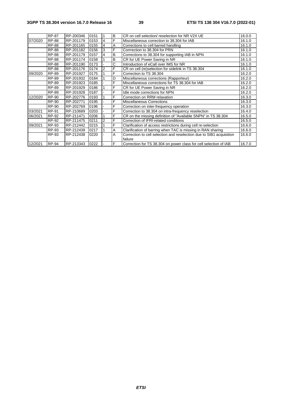|         | <b>RP-87</b> | RP-200346 | 0151 |   | B | CR on cell selection/ reselection for NR V2X UE                      | 16.0.0 |
|---------|--------------|-----------|------|---|---|----------------------------------------------------------------------|--------|
| 07/2020 | <b>RP-88</b> | RP-201179 | 0153 | 4 | F | Miscellaneous correction to 38.304 for IAB                           | 16.1.0 |
|         | <b>RP-88</b> | RP-201165 | 0155 | 4 | A | Corrections to cell barred handling                                  | 16.1.0 |
|         | <b>RP-88</b> | RP-201182 | 0156 | 3 | F | Corrrection to 38.304 for PRN                                        | 16.1.0 |
|         | <b>RP-88</b> | RP-201179 | 0157 | 4 | B | Corrections to 38.304 for supporting IAB in NPN                      | 16.1.0 |
|         | <b>RP-88</b> | RP-201174 | 0158 |   | B | CR for UE Power Saving in NR                                         | 16.1.0 |
|         | <b>RP-88</b> | RP-201190 | 0173 |   | Ć | Introduction of eCall over IMS for NR                                | 16.1.0 |
|         | <b>RP-88</b> | RP-201176 | 0174 | 2 | F | CR on cell (re)selection for sidelink in TS 38.304                   | 16.1.0 |
| 09/2020 | RP-89        | RP-201927 | 0175 |   | F | Correction to TS 38.304                                              | 16.2.0 |
|         | RP-89        | RP-201932 | 0184 |   | D | Miscellaneous corrections (Rapporteur)                               | 16.2.0 |
|         | RP-89        | RP-201923 | 0185 |   | F | Miscellaneous corrections for TS 38.304 for IAB                      | 16.2.0 |
|         | <b>RP-89</b> | RP-201929 | 0186 |   | F | CR for UE Power Saving in NR                                         | 16.2.0 |
|         | RP-89        | RP-201928 | 0187 |   | F | Idle mode corrections for NPN                                        | 16.2.0 |
| 12/2020 | RP-90        | RP-202776 | 0193 |   | F | Correction on RRM relaxation                                         | 16.3.0 |
|         | <b>RP-90</b> | RP-202771 | 0195 |   | F | <b>Miscellaneous Corrections</b>                                     | 16.3.0 |
|         | <b>RP-90</b> | RP-202769 | 0196 |   | F | Correction on inter-frequency operation                              | 16.3.0 |
| 03/2021 | RP-91        | RP-210689 | 0203 |   | F | Correction to 38.304 on intra-frequency reselection                  | 16.4.0 |
| 06/2021 | RP-92        | RP-211471 | 0206 |   | F | CR on the missing definition of "Available SNPN" in TS 38.304        | 16.5.0 |
|         | RP-92        | RP-211475 | 0211 | 2 | F | Correction of IFRI-related conditions                                | 16.5.0 |
| 09/2021 | RP-93        | RP-212442 | 0215 |   | F | Clarification of access restrictions during cell re-selection        | 16.6.0 |
|         | RP-93        | RP-212439 | 0217 |   | A | Clarification of barring when TAC is missing in RAN sharing          | 16.6.0 |
|         | RP-93        | RP-212438 | 0220 |   | A | Correction to cell selection and reselection due to SIB1 acquisition | 16.6.0 |
|         |              |           |      |   |   | failure                                                              |        |
| 12/2021 | <b>RP-94</b> | RP-213343 | 0222 |   | F | Correction for TS 38.304 on power class for cell selection of IAB    | 16.7.0 |